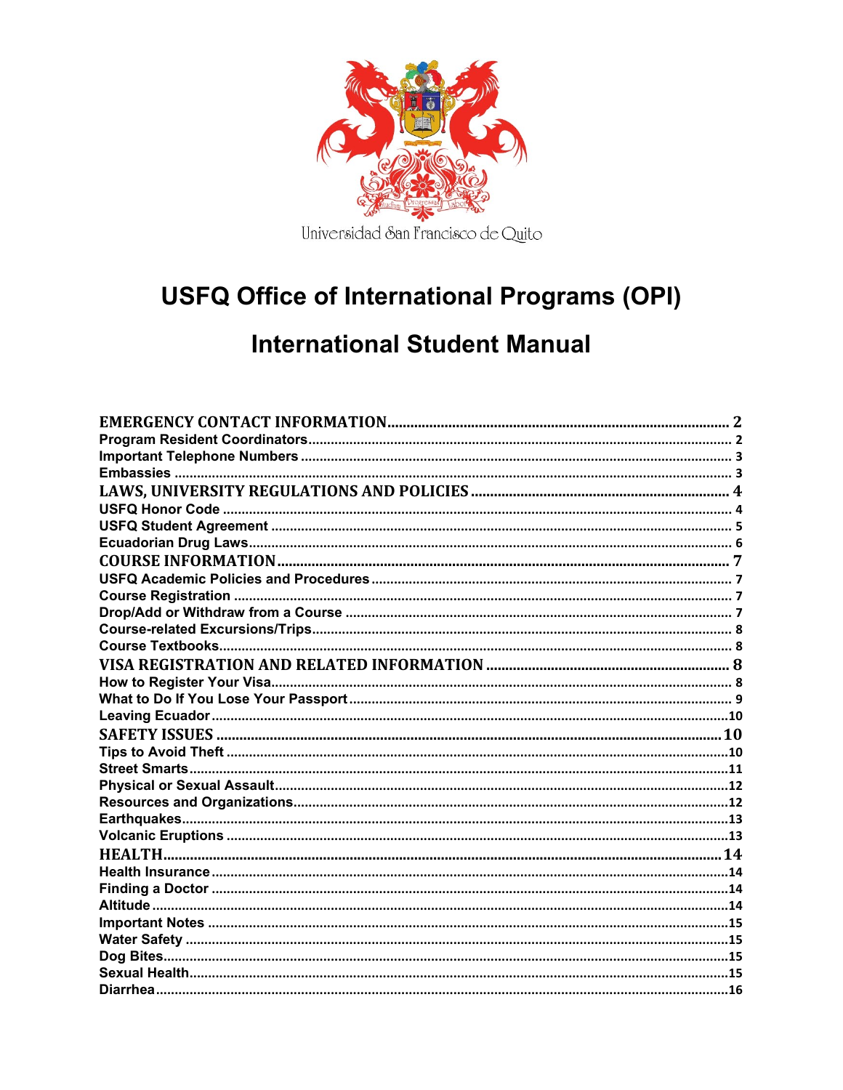

# **USFQ Office of International Programs (OPI)**

# **International Student Manual**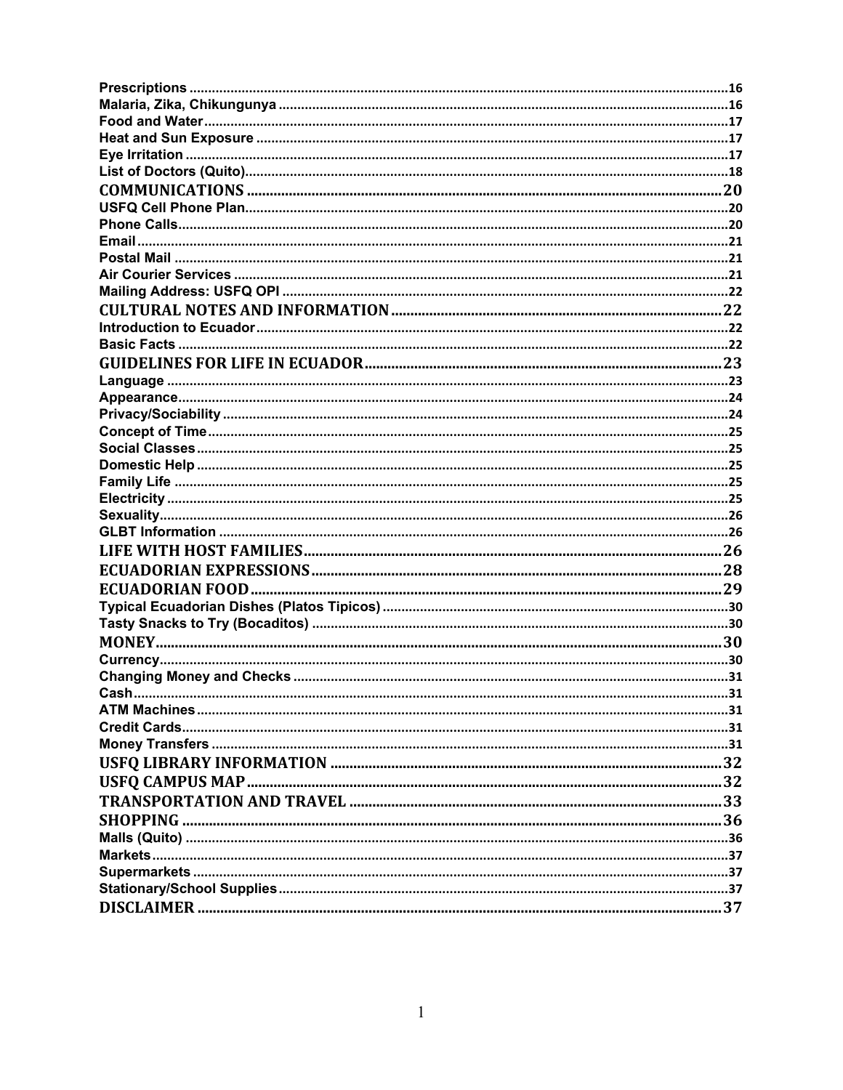| Cash | 31 |
|------|----|
|      |    |
|      |    |
|      |    |
|      |    |
|      |    |
|      |    |
|      |    |
|      |    |
|      |    |
|      |    |
|      |    |
|      |    |
|      |    |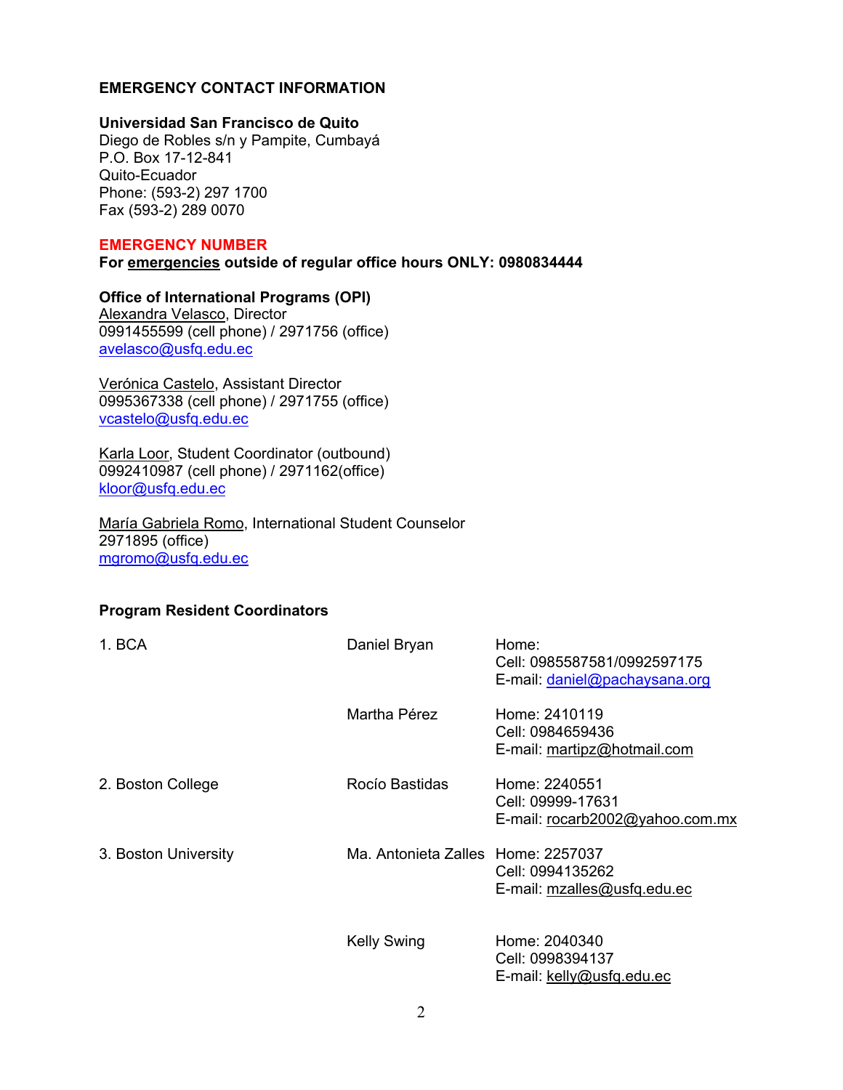## **EMERGENCY CONTACT INFORMATION**

#### **Universidad San Francisco de Quito**

Diego de Robles s/n y Pampite, Cumbayá P.O. Box 17-12-841 Quito-Ecuador Phone: (593-2) 297 1700 Fax (593-2) 289 0070

#### **EMERGENCY NUMBER**

**For emergencies outside of regular office hours ONLY: 0980834444** 

# **Office of International Programs (OPI)**

Alexandra Velasco, Director 0991455599 (cell phone) / 2971756 (office) avelasco@usfq.edu.ec

Verónica Castelo, Assistant Director 0995367338 (cell phone) / 2971755 (office) vcastelo@usfq.edu.ec

Karla Loor, Student Coordinator (outbound) 0992410987 (cell phone) / 2971162(office) kloor@usfq.edu.ec

María Gabriela Romo, International Student Counselor 2971895 (office) mgromo@usfq.edu.ec

# **Program Resident Coordinators**

| 1. BCA               | Daniel Bryan                       | Home:<br>Cell: 0985587581/0992597175<br>E-mail: daniel@pachaysana.org |
|----------------------|------------------------------------|-----------------------------------------------------------------------|
|                      | Martha Pérez                       | Home: 2410119<br>Cell: 0984659436<br>E-mail: martipz@hotmail.com      |
| 2. Boston College    | Rocío Bastidas                     | Home: 2240551<br>Cell: 09999-17631<br>E-mail: rocarb2002@yahoo.com.mx |
| 3. Boston University | Ma. Antonieta Zalles Home: 2257037 | Cell: 0994135262<br>E-mail: mzalles@usfq.edu.ec                       |
|                      | <b>Kelly Swing</b>                 | Home: 2040340<br>Cell: 0998394137<br>E-mail: kelly@usfq.edu.ec        |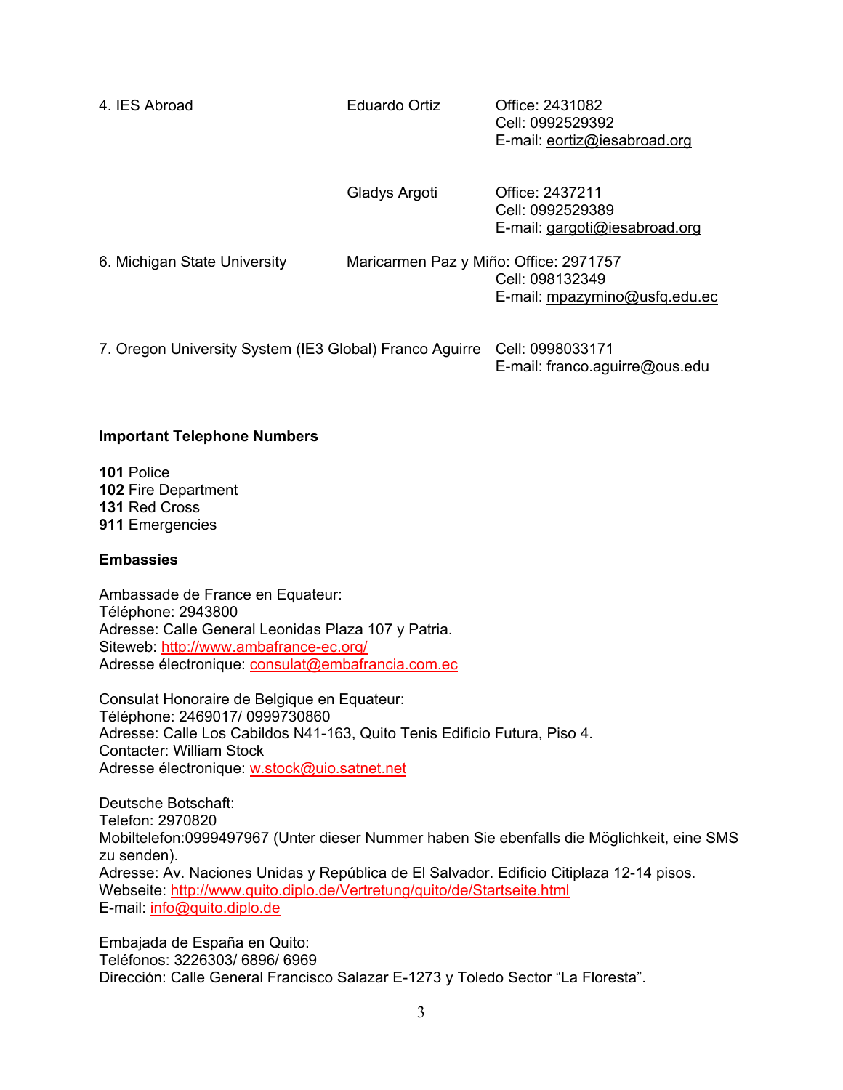| 4. IES Abroad                                           | Eduardo Ortiz                          | Office: 2431082<br>Cell: 0992529392<br>E-mail: eortiz@iesabroad.org  |
|---------------------------------------------------------|----------------------------------------|----------------------------------------------------------------------|
|                                                         | Gladys Argoti                          | Office: 2437211<br>Cell: 0992529389<br>E-mail: gargoti@iesabroad.org |
| 6. Michigan State University                            | Maricarmen Paz y Miño: Office: 2971757 | Cell: 098132349<br>E-mail: mpazymino@usfq.edu.ec                     |
| 7. Oregon University System (IE3 Global) Franco Aguirre |                                        | Cell: 0998033171<br>E-mail: franco.aquirre@ous.edu                   |

#### **Important Telephone Numbers**

**101** Police Fire Department Red Cross Emergencies

#### **Embassies**

Ambassade de France en Equateur: Téléphone: 2943800 Adresse: Calle General Leonidas Plaza 107 y Patria. Siteweb: http://www.ambafrance-ec.org/ Adresse électronique: consulat@embafrancia.com.ec

Consulat Honoraire de Belgique en Equateur: Téléphone: 2469017/ 0999730860 Adresse: Calle Los Cabildos N41-163, Quito Tenis Edificio Futura, Piso 4. Contacter: William Stock Adresse électronique: w.stock@uio.satnet.net

Deutsche Botschaft: Telefon: 2970820 Mobiltelefon:0999497967 (Unter dieser Nummer haben Sie ebenfalls die Möglichkeit, eine SMS zu senden). Adresse: Av. Naciones Unidas y República de El Salvador. Edificio Citiplaza 12-14 pisos. Webseite: http://www.quito.diplo.de/Vertretung/quito/de/Startseite.html E-mail: info@quito.diplo.de

Embajada de España en Quito: Teléfonos: 3226303/ 6896/ 6969 Dirección: Calle General Francisco Salazar E-1273 y Toledo Sector "La Floresta".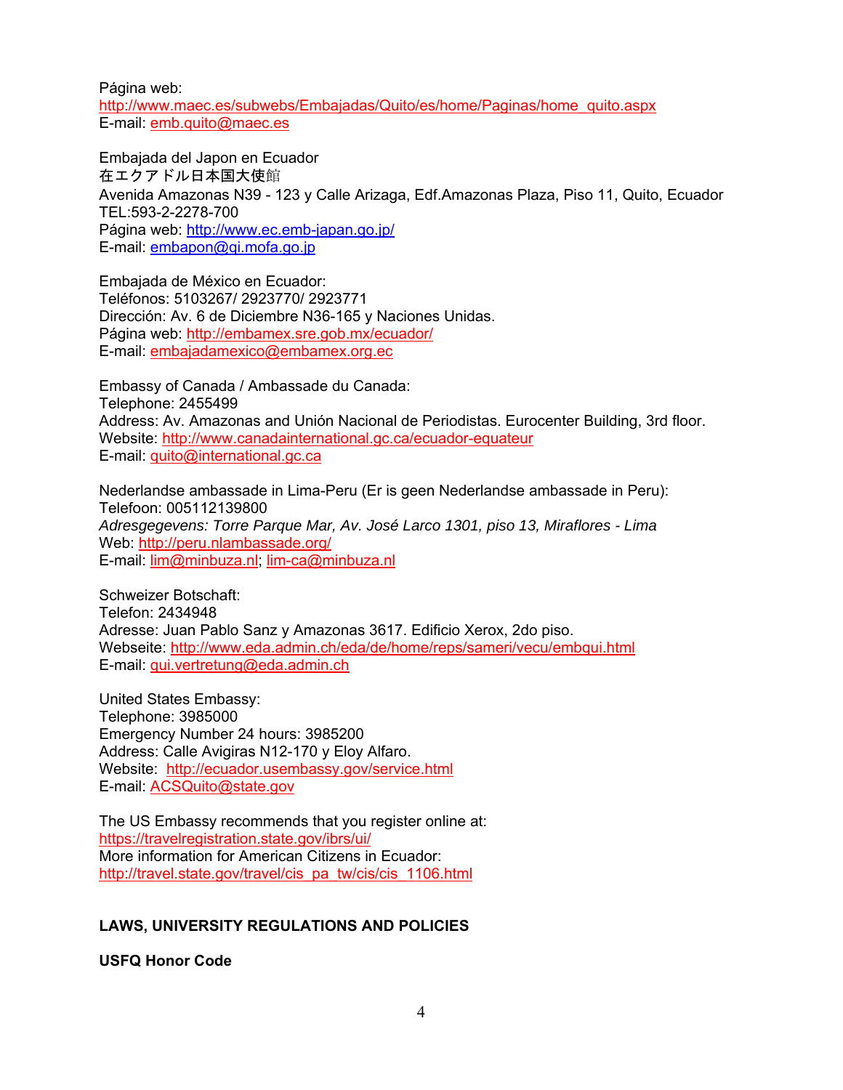Página web:

http://www.maec.es/subwebs/Embajadas/Quito/es/home/Paginas/home\_quito.aspx E-mail: emb.quito@maec.es

Embajada del Japon en Ecuador 在エクアドル日本国大使館 Avenida Amazonas N39 - 123 y Calle Arizaga, Edf.Amazonas Plaza, Piso 11, Quito, Ecuador TEL:593-2-2278-700 Página web: http://www.ec.emb-japan.go.jp/ E-mail: embapon@qi.mofa.go.jp

Embajada de México en Ecuador: Teléfonos: 5103267/ 2923770/ 2923771 Dirección: Av. 6 de Diciembre N36-165 y Naciones Unidas. Página web: http://embamex.sre.gob.mx/ecuador/ E-mail: embajadamexico@embamex.org.ec

Embassy of Canada / Ambassade du Canada: Telephone: 2455499 Address: Av. Amazonas and Unión Nacional de Periodistas. Eurocenter Building, 3rd floor. Website: http://www.canadainternational.gc.ca/ecuador-equateur E-mail: quito@international.gc.ca

Nederlandse ambassade in Lima-Peru (Er is geen Nederlandse ambassade in Peru): Telefoon: 005112139800 *Adresgegevens: Torre Parque Mar, Av. José Larco 1301, piso 13, Miraflores - Lima*  Web: http://peru.nlambassade.org/ E-mail: lim@minbuza.nl; lim-ca@minbuza.nl

Schweizer Botschaft: Telefon: 2434948 Adresse: Juan Pablo Sanz y Amazonas 3617. Edificio Xerox, 2do piso. Webseite: http://www.eda.admin.ch/eda/de/home/reps/sameri/vecu/embqui.html E-mail: qui.vertretung@eda.admin.ch

United States Embassy: Telephone: 3985000 Emergency Number 24 hours: 3985200 Address: Calle Avigiras N12-170 y Eloy Alfaro. Website: http://ecuador.usembassy.gov/service.html E-mail: ACSQuito@state.gov

The US Embassy recommends that you register online at: https://travelregistration.state.gov/ibrs/ui/ More information for American Citizens in Ecuador: http://travel.state.gov/travel/cis\_pa\_tw/cis/cis\_1106.html

# **LAWS, UNIVERSITY REGULATIONS AND POLICIES**

**USFQ Honor Code**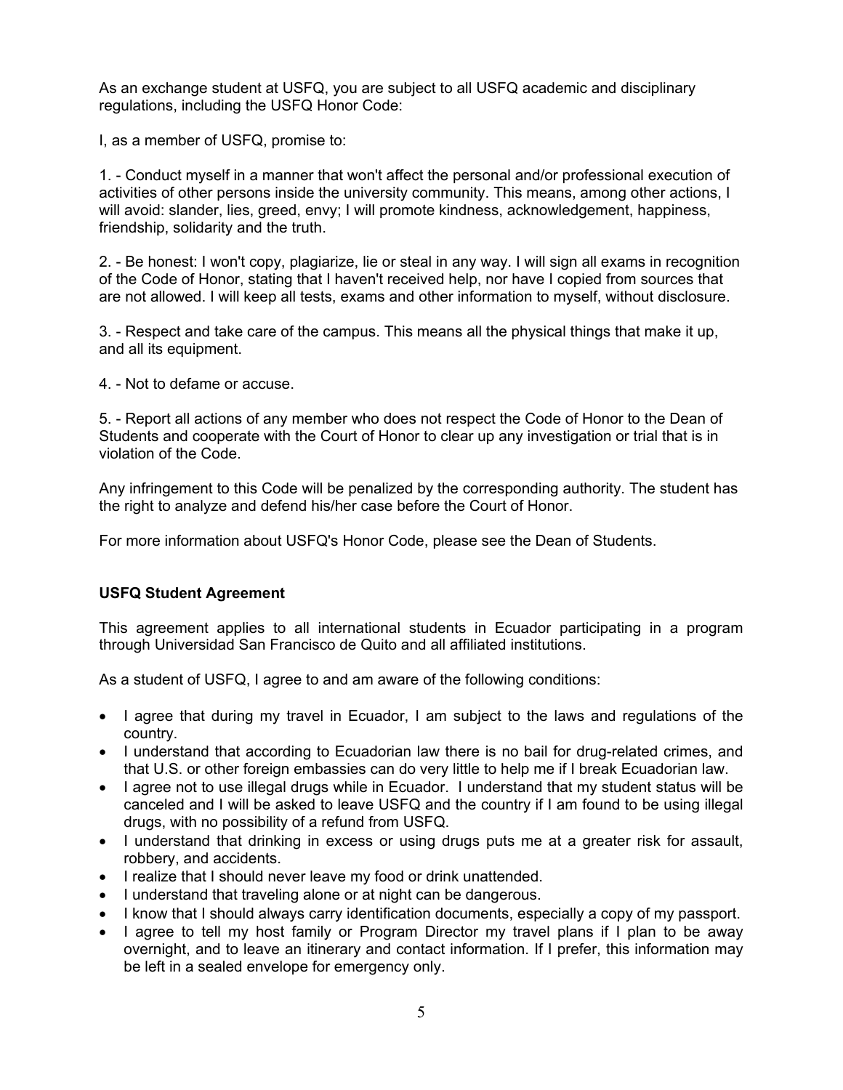As an exchange student at USFQ, you are subject to all USFQ academic and disciplinary regulations, including the USFQ Honor Code:

I, as a member of USFQ, promise to:

1. - Conduct myself in a manner that won't affect the personal and/or professional execution of activities of other persons inside the university community. This means, among other actions, I will avoid: slander, lies, greed, envy; I will promote kindness, acknowledgement, happiness, friendship, solidarity and the truth.

2. - Be honest: I won't copy, plagiarize, lie or steal in any way. I will sign all exams in recognition of the Code of Honor, stating that I haven't received help, nor have I copied from sources that are not allowed. I will keep all tests, exams and other information to myself, without disclosure.

3. - Respect and take care of the campus. This means all the physical things that make it up, and all its equipment.

4. - Not to defame or accuse.

5. - Report all actions of any member who does not respect the Code of Honor to the Dean of Students and cooperate with the Court of Honor to clear up any investigation or trial that is in violation of the Code.

Any infringement to this Code will be penalized by the corresponding authority. The student has the right to analyze and defend his/her case before the Court of Honor.

For more information about USFQ's Honor Code, please see the Dean of Students.

# **USFQ Student Agreement**

This agreement applies to all international students in Ecuador participating in a program through Universidad San Francisco de Quito and all affiliated institutions.

As a student of USFQ, I agree to and am aware of the following conditions:

- I agree that during my travel in Ecuador, I am subject to the laws and regulations of the country.
- I understand that according to Ecuadorian law there is no bail for drug-related crimes, and that U.S. or other foreign embassies can do very little to help me if I break Ecuadorian law.
- I agree not to use illegal drugs while in Ecuador. I understand that my student status will be canceled and I will be asked to leave USFQ and the country if I am found to be using illegal drugs, with no possibility of a refund from USFQ.
- I understand that drinking in excess or using drugs puts me at a greater risk for assault, robbery, and accidents.
- I realize that I should never leave my food or drink unattended.
- I understand that traveling alone or at night can be dangerous.
- I know that I should always carry identification documents, especially a copy of my passport.
- I agree to tell my host family or Program Director my travel plans if I plan to be away overnight, and to leave an itinerary and contact information. If I prefer, this information may be left in a sealed envelope for emergency only.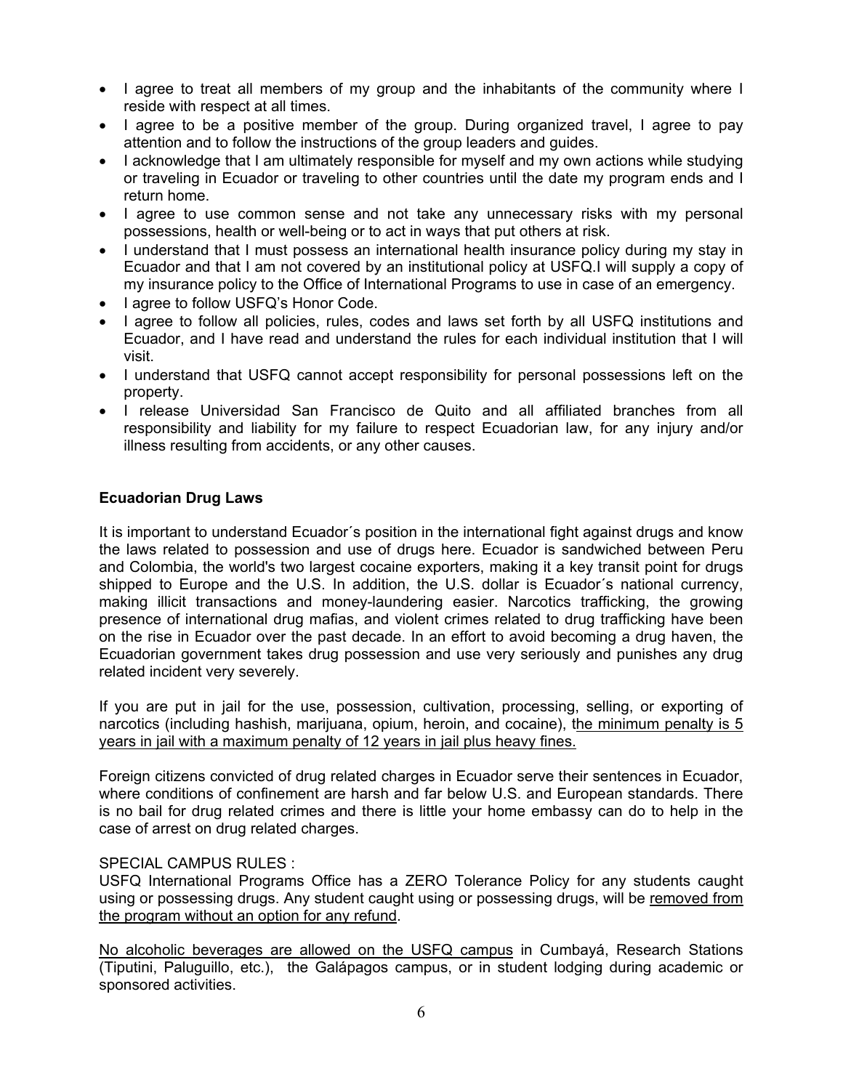- I agree to treat all members of my group and the inhabitants of the community where I reside with respect at all times.
- I agree to be a positive member of the group. During organized travel, I agree to pay attention and to follow the instructions of the group leaders and guides.
- I acknowledge that I am ultimately responsible for myself and my own actions while studying or traveling in Ecuador or traveling to other countries until the date my program ends and I return home.
- I agree to use common sense and not take any unnecessary risks with my personal possessions, health or well-being or to act in ways that put others at risk.
- I understand that I must possess an international health insurance policy during my stay in Ecuador and that I am not covered by an institutional policy at USFQ.I will supply a copy of my insurance policy to the Office of International Programs to use in case of an emergency.
- lagree to follow USFQ's Honor Code.
- I agree to follow all policies, rules, codes and laws set forth by all USFQ institutions and Ecuador, and I have read and understand the rules for each individual institution that I will visit.
- I understand that USFQ cannot accept responsibility for personal possessions left on the property.
- I release Universidad San Francisco de Quito and all affiliated branches from all responsibility and liability for my failure to respect Ecuadorian law, for any injury and/or illness resulting from accidents, or any other causes.

#### **Ecuadorian Drug Laws**

It is important to understand Ecuador´s position in the international fight against drugs and know the laws related to possession and use of drugs here. Ecuador is sandwiched between Peru and Colombia, the world's two largest cocaine exporters, making it a key transit point for drugs shipped to Europe and the U.S. In addition, the U.S. dollar is Ecuador´s national currency, making illicit transactions and money-laundering easier. Narcotics trafficking, the growing presence of international drug mafias, and violent crimes related to drug trafficking have been on the rise in Ecuador over the past decade. In an effort to avoid becoming a drug haven, the Ecuadorian government takes drug possession and use very seriously and punishes any drug related incident very severely.

If you are put in jail for the use, possession, cultivation, processing, selling, or exporting of narcotics (including hashish, marijuana, opium, heroin, and cocaine), the minimum penalty is 5 years in jail with a maximum penalty of 12 years in jail plus heavy fines.

Foreign citizens convicted of drug related charges in Ecuador serve their sentences in Ecuador, where conditions of confinement are harsh and far below U.S. and European standards. There is no bail for drug related crimes and there is little your home embassy can do to help in the case of arrest on drug related charges.

#### SPECIAL CAMPUS RULES :

USFQ International Programs Office has a ZERO Tolerance Policy for any students caught using or possessing drugs. Any student caught using or possessing drugs, will be removed from the program without an option for any refund.

No alcoholic beverages are allowed on the USFQ campus in Cumbayá, Research Stations (Tiputini, Paluguillo, etc.), the Galápagos campus, or in student lodging during academic or sponsored activities.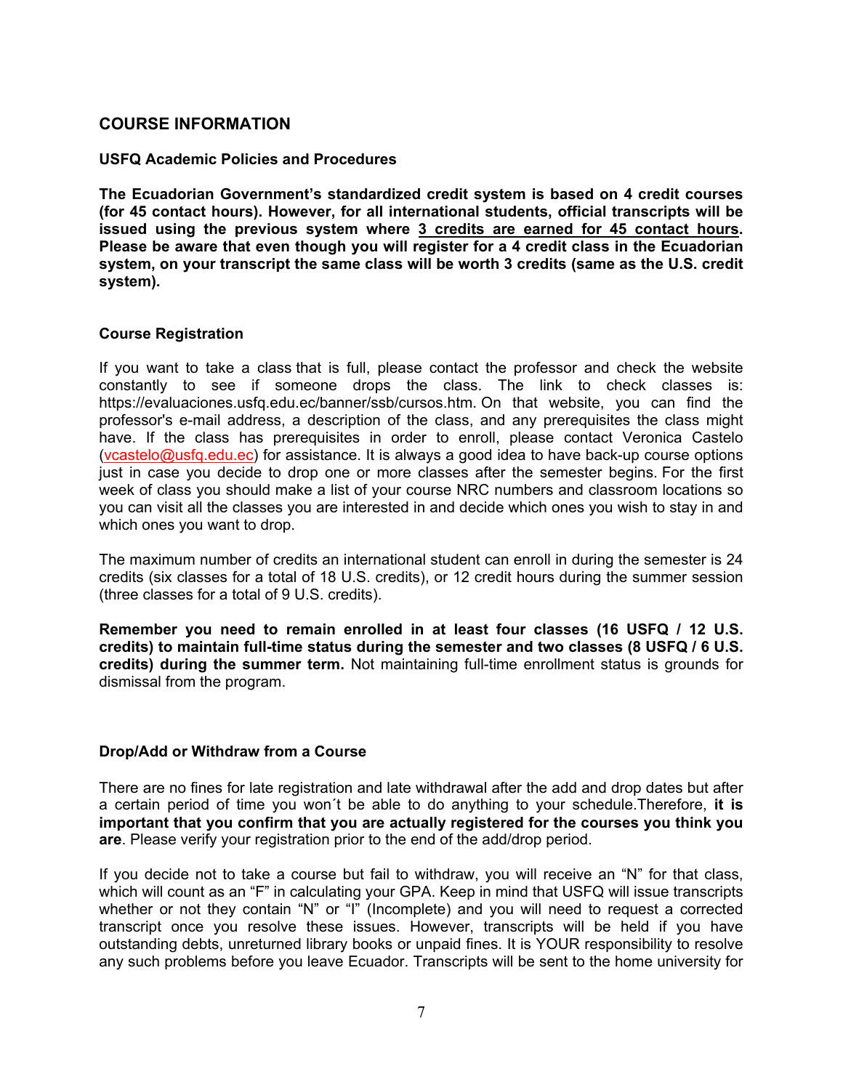# **COURSE INFORMATION**

#### **USFQ Academic Policies and Procedures**

**The Ecuadorian Government's standardized credit system is based on 4 credit courses (for 45 contact hours). However, for all international students, official transcripts will be issued using the previous system where 3 credits are earned for 45 contact hours. Please be aware that even though you will register for a 4 credit class in the Ecuadorian system, on your transcript the same class will be worth 3 credits (same as the U.S. credit system).** 

#### **Course Registration**

If you want to take a class that is full, please contact the professor and check the website constantly to see if someone drops the class. The link to check classes is: https://evaluaciones.usfq.edu.ec/banner/ssb/cursos.htm. On that website, you can find the professor's e-mail address, a description of the class, and any prerequisites the class might have. If the class has prerequisites in order to enroll, please contact Veronica Castelo (vcastelo@usfq.edu.ec) for assistance. It is always a good idea to have back-up course options just in case you decide to drop one or more classes after the semester begins. For the first week of class you should make a list of your course NRC numbers and classroom locations so you can visit all the classes you are interested in and decide which ones you wish to stay in and which ones you want to drop.

The maximum number of credits an international student can enroll in during the semester is 24 credits (six classes for a total of 18 U.S. credits), or 12 credit hours during the summer session (three classes for a total of 9 U.S. credits).

**Remember you need to remain enrolled in at least four classes (16 USFQ / 12 U.S. credits) to maintain full-time status during the semester and two classes (8 USFQ / 6 U.S. credits) during the summer term.** Not maintaining full-time enrollment status is grounds for dismissal from the program.

#### **Drop/Add or Withdraw from a Course**

There are no fines for late registration and late withdrawal after the add and drop dates but after a certain period of time you won´t be able to do anything to your schedule.Therefore, **it is important that you confirm that you are actually registered for the courses you think you are**. Please verify your registration prior to the end of the add/drop period.

If you decide not to take a course but fail to withdraw, you will receive an "N" for that class, which will count as an "F" in calculating your GPA. Keep in mind that USFQ will issue transcripts whether or not they contain "N" or "I" (Incomplete) and you will need to request a corrected transcript once you resolve these issues. However, transcripts will be held if you have outstanding debts, unreturned library books or unpaid fines. It is YOUR responsibility to resolve any such problems before you leave Ecuador. Transcripts will be sent to the home university for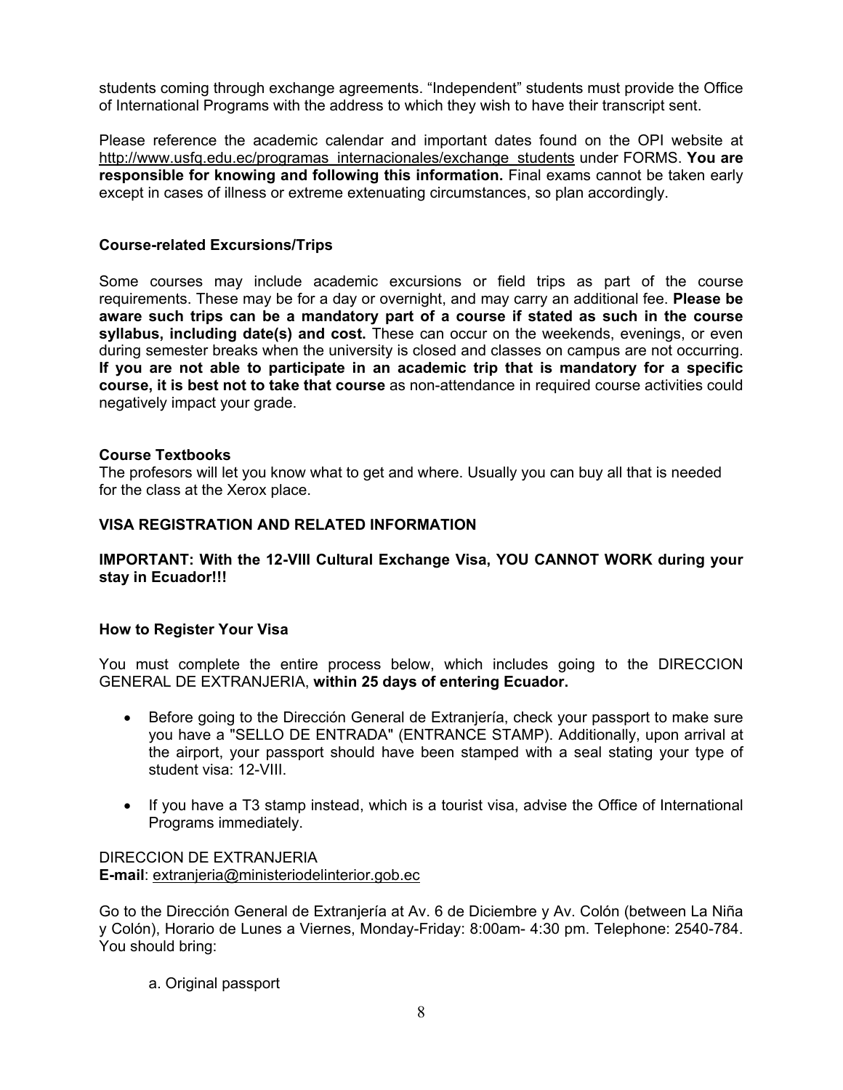students coming through exchange agreements. "Independent" students must provide the Office of International Programs with the address to which they wish to have their transcript sent.

Please reference the academic calendar and important dates found on the OPI website at http://www.usfq.edu.ec/programas\_internacionales/exchange\_students under FORMS. **You are responsible for knowing and following this information.** Final exams cannot be taken early except in cases of illness or extreme extenuating circumstances, so plan accordingly.

## **Course-related Excursions/Trips**

Some courses may include academic excursions or field trips as part of the course requirements. These may be for a day or overnight, and may carry an additional fee. **Please be aware such trips can be a mandatory part of a course if stated as such in the course syllabus, including date(s) and cost.** These can occur on the weekends, evenings, or even during semester breaks when the university is closed and classes on campus are not occurring. **If you are not able to participate in an academic trip that is mandatory for a specific course, it is best not to take that course** as non-attendance in required course activities could negatively impact your grade.

#### **Course Textbooks**

The profesors will let you know what to get and where. Usually you can buy all that is needed for the class at the Xerox place.

#### **VISA REGISTRATION AND RELATED INFORMATION**

#### **IMPORTANT: With the 12-VIII Cultural Exchange Visa, YOU CANNOT WORK during your stay in Ecuador!!!**

#### **How to Register Your Visa**

You must complete the entire process below, which includes going to the DIRECCION GENERAL DE EXTRANJERIA, **within 25 days of entering Ecuador.**

- Before going to the Dirección General de Extranjería, check your passport to make sure you have a "SELLO DE ENTRADA" (ENTRANCE STAMP). Additionally, upon arrival at the airport, your passport should have been stamped with a seal stating your type of student visa: 12-VIII.
- If you have a T3 stamp instead, which is a tourist visa, advise the Office of International Programs immediately.

#### DIRECCION DE EXTRANJERIA **E-mail**: extranjeria@ministeriodelinterior.gob.ec

Go to the Dirección General de Extranjería at Av. 6 de Diciembre y Av. Colón (between La Niña y Colón), Horario de Lunes a Viernes, Monday-Friday: 8:00am- 4:30 pm. Telephone: 2540-784. You should bring:

a. Original passport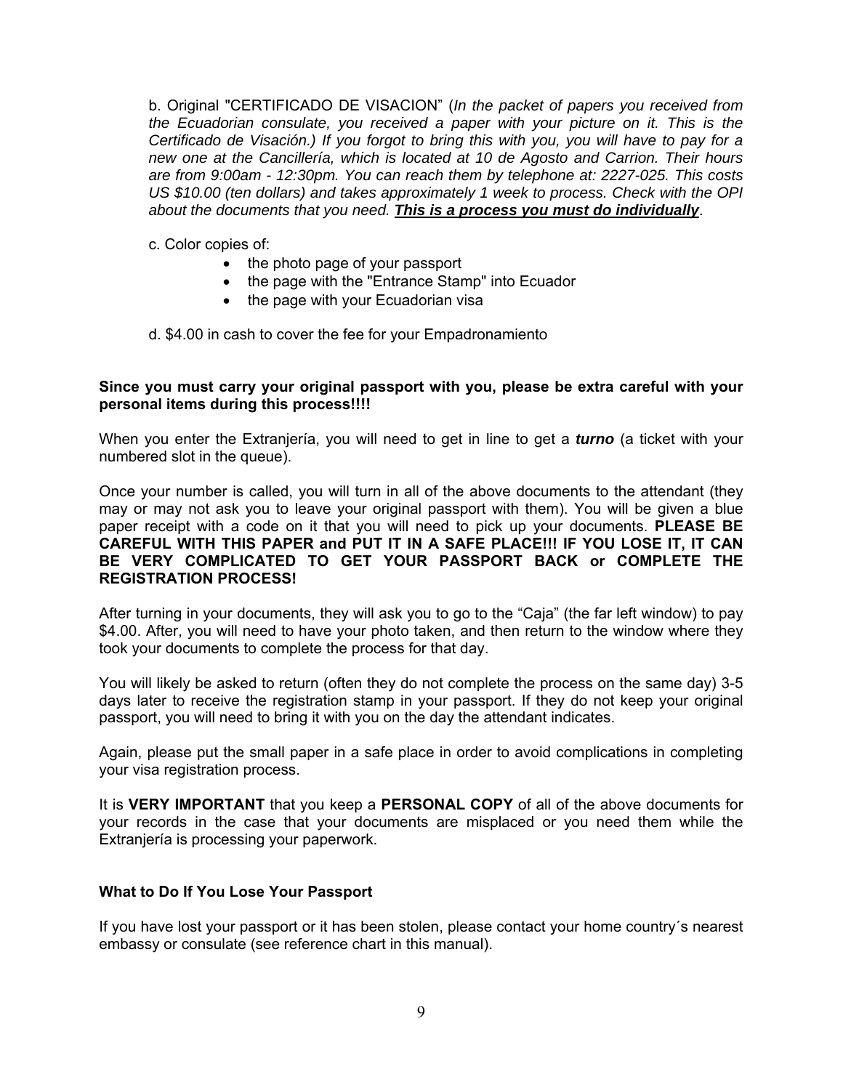b. Original "CERTIFICADO DE VISACION" (*In the packet of papers you received from the Ecuadorian consulate, you received a paper with your picture on it. This is the Certificado de Visación.) If you forgot to bring this with you, you will have to pay for a new one at the Cancillería, which is located at 10 de Agosto and Carrion. Their hours are from 9:00am - 12:30pm. You can reach them by telephone at: 2227-025. This costs US \$10.00 (ten dollars) and takes approximately 1 week to process. Check with the OPI about the documents that you need. This is a process you must do individually*.

c. Color copies of:

- the photo page of your passport
- the page with the "Entrance Stamp" into Ecuador
- the page with your Ecuadorian visa

d. \$4.00 in cash to cover the fee for your Empadronamiento

#### **Since you must carry your original passport with you, please be extra careful with your personal items during this process!!!!**

When you enter the Extranjería, you will need to get in line to get a *turno* (a ticket with your numbered slot in the queue).

Once your number is called, you will turn in all of the above documents to the attendant (they may or may not ask you to leave your original passport with them). You will be given a blue paper receipt with a code on it that you will need to pick up your documents. **PLEASE BE CAREFUL WITH THIS PAPER and PUT IT IN A SAFE PLACE!!! IF YOU LOSE IT, IT CAN BE VERY COMPLICATED TO GET YOUR PASSPORT BACK or COMPLETE THE REGISTRATION PROCESS!** 

After turning in your documents, they will ask you to go to the "Caja" (the far left window) to pay \$4.00. After, you will need to have your photo taken, and then return to the window where they took your documents to complete the process for that day.

You will likely be asked to return (often they do not complete the process on the same day) 3-5 days later to receive the registration stamp in your passport. If they do not keep your original passport, you will need to bring it with you on the day the attendant indicates.

Again, please put the small paper in a safe place in order to avoid complications in completing your visa registration process.

It is **VERY IMPORTANT** that you keep a **PERSONAL COPY** of all of the above documents for your records in the case that your documents are misplaced or you need them while the Extranjería is processing your paperwork.

# **What to Do If You Lose Your Passport**

If you have lost your passport or it has been stolen, please contact your home country´s nearest embassy or consulate (see reference chart in this manual).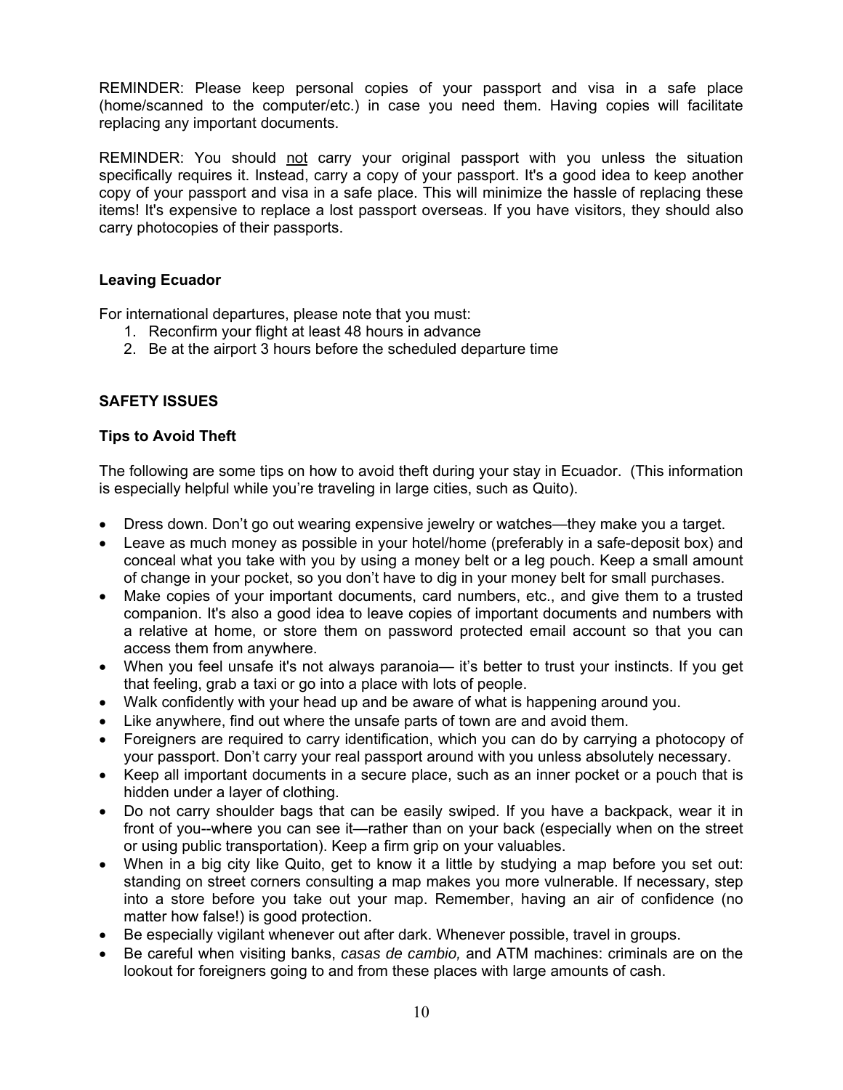REMINDER: Please keep personal copies of your passport and visa in a safe place (home/scanned to the computer/etc.) in case you need them. Having copies will facilitate replacing any important documents.

REMINDER: You should not carry your original passport with you unless the situation specifically requires it. Instead, carry a copy of your passport. It's a good idea to keep another copy of your passport and visa in a safe place. This will minimize the hassle of replacing these items! It's expensive to replace a lost passport overseas. If you have visitors, they should also carry photocopies of their passports.

# **Leaving Ecuador**

For international departures, please note that you must:

- 1. Reconfirm your flight at least 48 hours in advance
- 2. Be at the airport 3 hours before the scheduled departure time

# **SAFETY ISSUES**

# **Tips to Avoid Theft**

The following are some tips on how to avoid theft during your stay in Ecuador. (This information is especially helpful while you're traveling in large cities, such as Quito).

- Dress down. Don't go out wearing expensive jewelry or watches—they make you a target.
- Leave as much money as possible in your hotel/home (preferably in a safe-deposit box) and conceal what you take with you by using a money belt or a leg pouch. Keep a small amount of change in your pocket, so you don't have to dig in your money belt for small purchases.
- Make copies of your important documents, card numbers, etc., and give them to a trusted companion. It's also a good idea to leave copies of important documents and numbers with a relative at home, or store them on password protected email account so that you can access them from anywhere.
- When you feel unsafe it's not always paranoia— it's better to trust your instincts. If you get that feeling, grab a taxi or go into a place with lots of people.
- Walk confidently with your head up and be aware of what is happening around you.
- Like anywhere, find out where the unsafe parts of town are and avoid them.
- Foreigners are required to carry identification, which you can do by carrying a photocopy of your passport. Don't carry your real passport around with you unless absolutely necessary.
- Keep all important documents in a secure place, such as an inner pocket or a pouch that is hidden under a layer of clothing.
- Do not carry shoulder bags that can be easily swiped. If you have a backpack, wear it in front of you--where you can see it—rather than on your back (especially when on the street or using public transportation). Keep a firm grip on your valuables.
- When in a big city like Quito, get to know it a little by studying a map before you set out: standing on street corners consulting a map makes you more vulnerable. If necessary, step into a store before you take out your map. Remember, having an air of confidence (no matter how false!) is good protection.
- Be especially vigilant whenever out after dark. Whenever possible, travel in groups.
- Be careful when visiting banks, *casas de cambio,* and ATM machines: criminals are on the lookout for foreigners going to and from these places with large amounts of cash.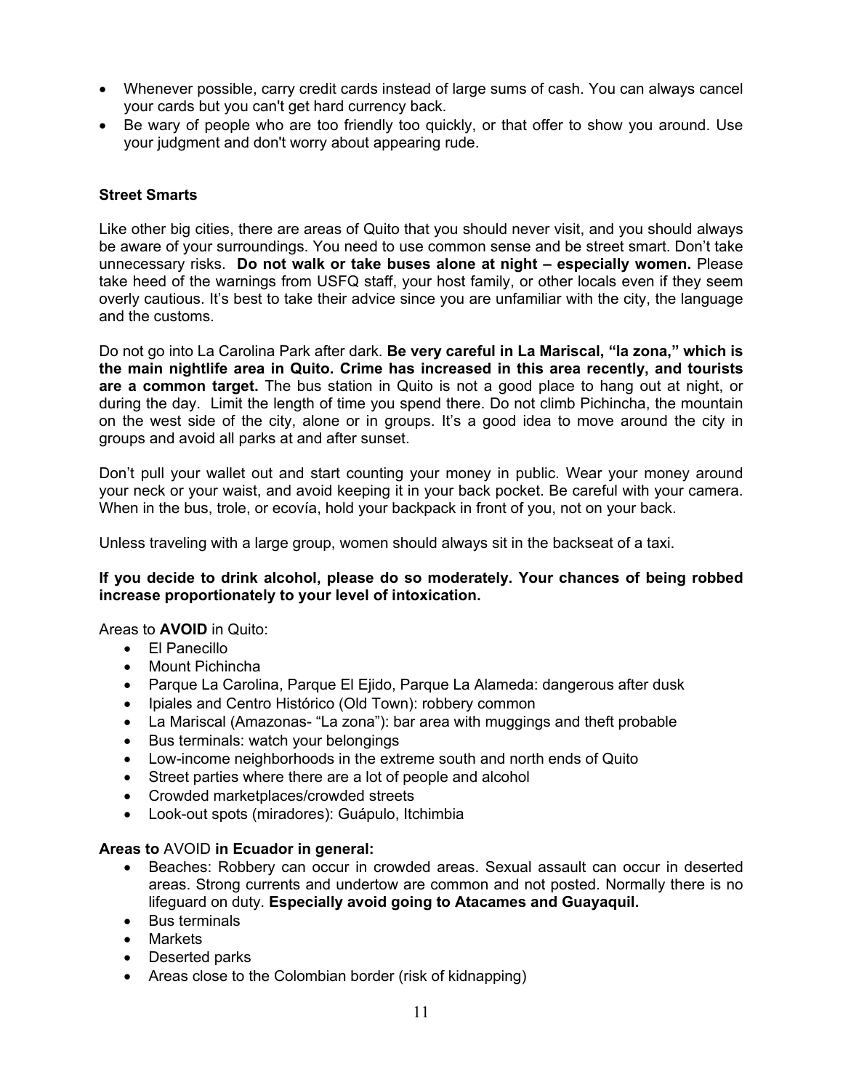- Whenever possible, carry credit cards instead of large sums of cash. You can always cancel your cards but you can't get hard currency back.
- Be wary of people who are too friendly too quickly, or that offer to show you around. Use your judgment and don't worry about appearing rude.

# **Street Smarts**

Like other big cities, there are areas of Quito that you should never visit, and you should always be aware of your surroundings. You need to use common sense and be street smart. Don't take unnecessary risks. **Do not walk or take buses alone at night – especially women.** Please take heed of the warnings from USFQ staff, your host family, or other locals even if they seem overly cautious. It's best to take their advice since you are unfamiliar with the city, the language and the customs.

Do not go into La Carolina Park after dark. **Be very careful in La Mariscal, "la zona," which is the main nightlife area in Quito. Crime has increased in this area recently, and tourists are a common target.** The bus station in Quito is not a good place to hang out at night, or during the day. Limit the length of time you spend there. Do not climb Pichincha, the mountain on the west side of the city, alone or in groups. It's a good idea to move around the city in groups and avoid all parks at and after sunset.

Don't pull your wallet out and start counting your money in public. Wear your money around your neck or your waist, and avoid keeping it in your back pocket. Be careful with your camera. When in the bus, trole, or ecovía, hold your backpack in front of you, not on your back.

Unless traveling with a large group, women should always sit in the backseat of a taxi.

# **If you decide to drink alcohol, please do so moderately. Your chances of being robbed increase proportionately to your level of intoxication.**

# Areas to **AVOID** in Quito:

- El Panecillo
- Mount Pichincha
- Parque La Carolina, Parque El Ejido, Parque La Alameda: dangerous after dusk
- Ipiales and Centro Histórico (Old Town): robbery common
- La Mariscal (Amazonas- "La zona"): bar area with muggings and theft probable
- Bus terminals: watch your belongings
- Low-income neighborhoods in the extreme south and north ends of Quito
- Street parties where there are a lot of people and alcohol
- Crowded marketplaces/crowded streets
- Look-out spots (miradores): Guápulo, Itchimbia

# **Areas to** AVOID **in Ecuador in general:**

- Beaches: Robbery can occur in crowded areas. Sexual assault can occur in deserted areas. Strong currents and undertow are common and not posted. Normally there is no lifeguard on duty. **Especially avoid going to Atacames and Guayaquil.**
- Bus terminals
- Markets
- Deserted parks
- Areas close to the Colombian border (risk of kidnapping)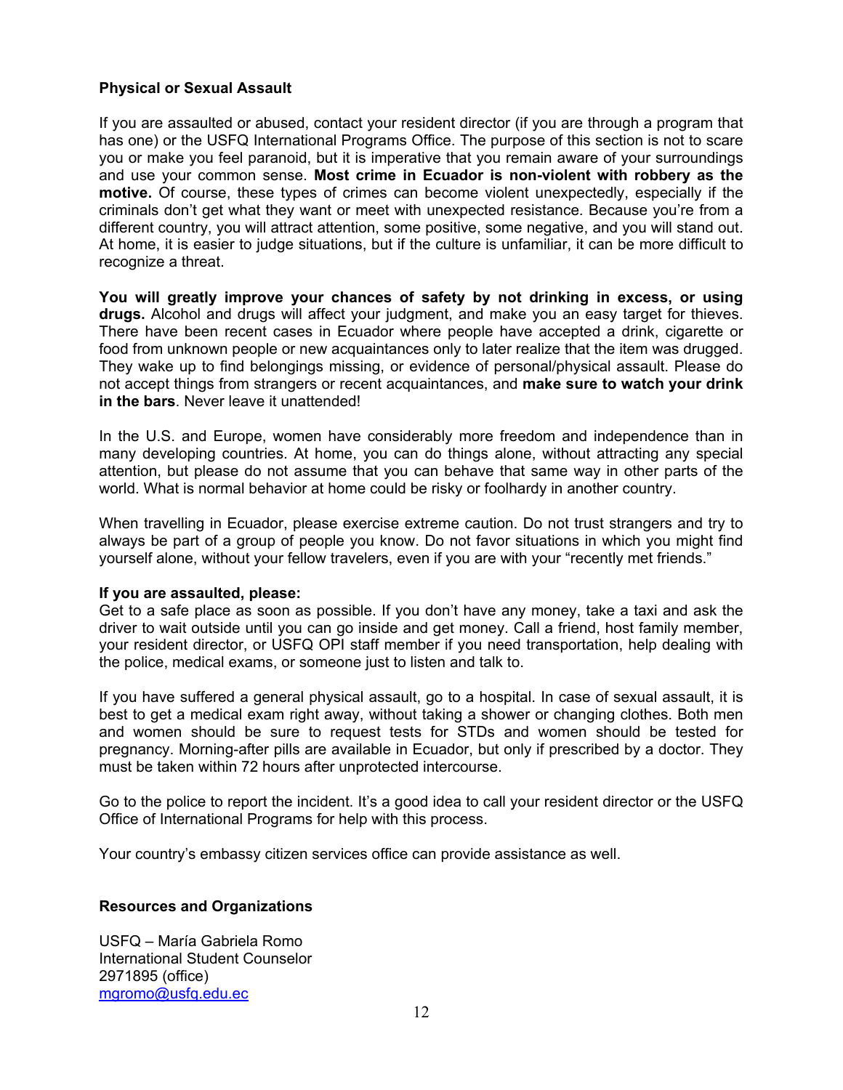## **Physical or Sexual Assault**

If you are assaulted or abused, contact your resident director (if you are through a program that has one) or the USFQ International Programs Office. The purpose of this section is not to scare you or make you feel paranoid, but it is imperative that you remain aware of your surroundings and use your common sense. **Most crime in Ecuador is non-violent with robbery as the motive.** Of course, these types of crimes can become violent unexpectedly, especially if the criminals don't get what they want or meet with unexpected resistance. Because you're from a different country, you will attract attention, some positive, some negative, and you will stand out. At home, it is easier to judge situations, but if the culture is unfamiliar, it can be more difficult to recognize a threat.

**You will greatly improve your chances of safety by not drinking in excess, or using drugs.** Alcohol and drugs will affect your judgment, and make you an easy target for thieves. There have been recent cases in Ecuador where people have accepted a drink, cigarette or food from unknown people or new acquaintances only to later realize that the item was drugged. They wake up to find belongings missing, or evidence of personal/physical assault. Please do not accept things from strangers or recent acquaintances, and **make sure to watch your drink in the bars**. Never leave it unattended!

In the U.S. and Europe, women have considerably more freedom and independence than in many developing countries. At home, you can do things alone, without attracting any special attention, but please do not assume that you can behave that same way in other parts of the world. What is normal behavior at home could be risky or foolhardy in another country.

When travelling in Ecuador, please exercise extreme caution. Do not trust strangers and try to always be part of a group of people you know. Do not favor situations in which you might find yourself alone, without your fellow travelers, even if you are with your "recently met friends."

#### **If you are assaulted, please:**

Get to a safe place as soon as possible. If you don't have any money, take a taxi and ask the driver to wait outside until you can go inside and get money. Call a friend, host family member, your resident director, or USFQ OPI staff member if you need transportation, help dealing with the police, medical exams, or someone just to listen and talk to.

If you have suffered a general physical assault, go to a hospital. In case of sexual assault, it is best to get a medical exam right away, without taking a shower or changing clothes. Both men and women should be sure to request tests for STDs and women should be tested for pregnancy. Morning-after pills are available in Ecuador, but only if prescribed by a doctor. They must be taken within 72 hours after unprotected intercourse.

Go to the police to report the incident. It's a good idea to call your resident director or the USFQ Office of International Programs for help with this process.

Your country's embassy citizen services office can provide assistance as well.

#### **Resources and Organizations**

USFQ – María Gabriela Romo International Student Counselor 2971895 (office) mgromo@usfq.edu.ec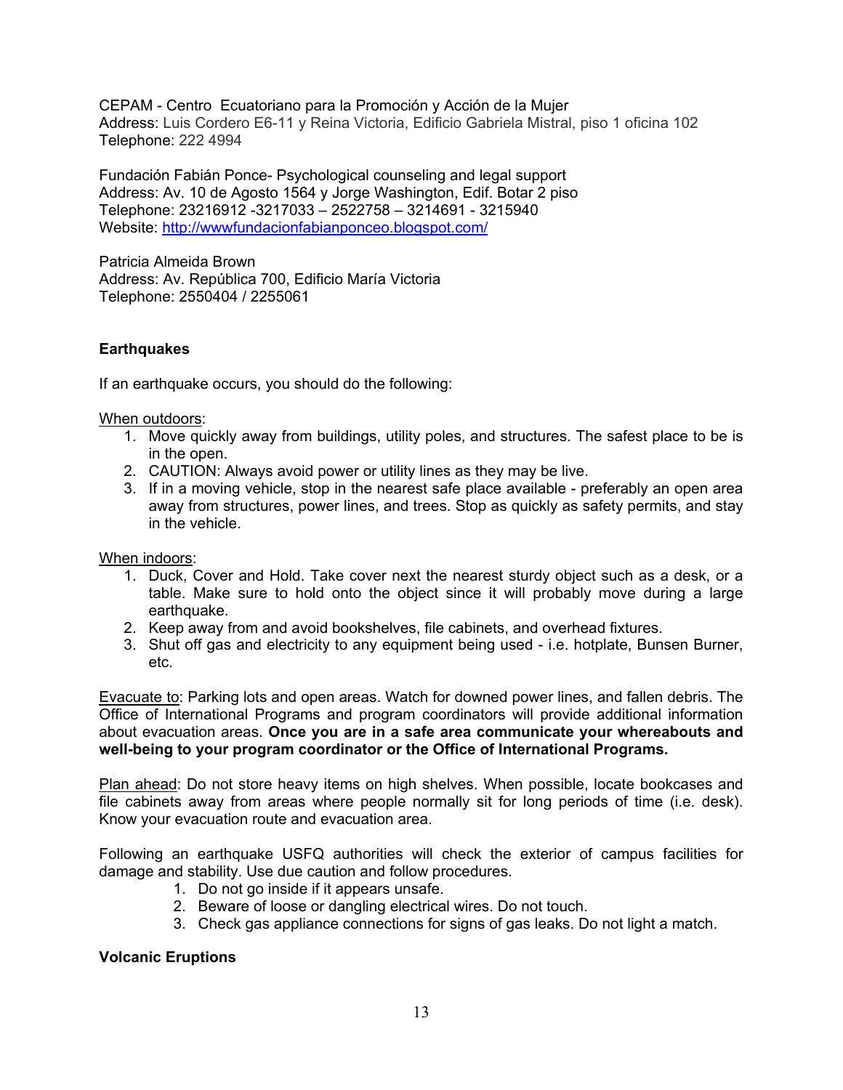CEPAM - Centro Ecuatoriano para la Promoción y Acción de la Mujer Address: Luis Cordero E6-11 y Reina Victoria, Edificio Gabriela Mistral, piso 1 oficina 102 Telephone: 222 4994

Fundación Fabián Ponce- Psychological counseling and legal support Address: Av. 10 de Agosto 1564 y Jorge Washington, Edif. Botar 2 piso Telephone: 23216912 -3217033 – 2522758 – 3214691 - 3215940 Website: http://wwwfundacionfabianponceo.blogspot.com/

Patricia Almeida Brown Address: Av. República 700, Edificio María Victoria Telephone: 2550404 / 2255061

# **Earthquakes**

If an earthquake occurs, you should do the following:

#### When outdoors:

- 1. Move quickly away from buildings, utility poles, and structures. The safest place to be is in the open.
- 2. CAUTION: Always avoid power or utility lines as they may be live.
- 3. If in a moving vehicle, stop in the nearest safe place available preferably an open area away from structures, power lines, and trees. Stop as quickly as safety permits, and stay in the vehicle.

#### When indoors:

- 1. Duck, Cover and Hold. Take cover next the nearest sturdy object such as a desk, or a table. Make sure to hold onto the object since it will probably move during a large earthquake.
- 2. Keep away from and avoid bookshelves, file cabinets, and overhead fixtures.
- 3. Shut off gas and electricity to any equipment being used i.e. hotplate, Bunsen Burner, etc.

Evacuate to: Parking lots and open areas. Watch for downed power lines, and fallen debris. The Office of International Programs and program coordinators will provide additional information about evacuation areas. **Once you are in a safe area communicate your whereabouts and well-being to your program coordinator or the Office of International Programs.**

Plan ahead: Do not store heavy items on high shelves. When possible, locate bookcases and file cabinets away from areas where people normally sit for long periods of time (i.e. desk). Know your evacuation route and evacuation area.

Following an earthquake USFQ authorities will check the exterior of campus facilities for damage and stability. Use due caution and follow procedures.

- 1. Do not go inside if it appears unsafe.
- 2. Beware of loose or dangling electrical wires. Do not touch.
- 3. Check gas appliance connections for signs of gas leaks. Do not light a match.

# **Volcanic Eruptions**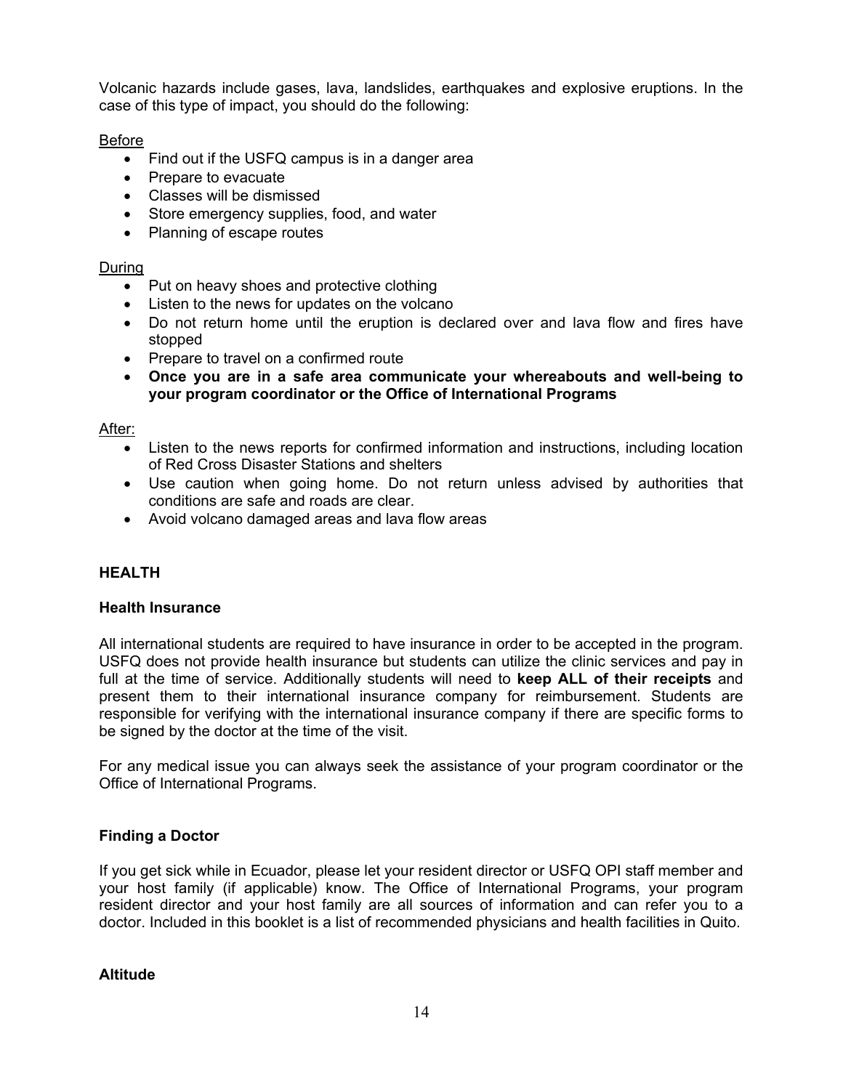Volcanic hazards include gases, lava, landslides, earthquakes and explosive eruptions. In the case of this type of impact, you should do the following:

# Before

- Find out if the USFQ campus is in a danger area
- Prepare to evacuate
- Classes will be dismissed
- Store emergency supplies, food, and water
- Planning of escape routes

# During

- Put on heavy shoes and protective clothing
- Listen to the news for updates on the volcano
- Do not return home until the eruption is declared over and lava flow and fires have stopped
- Prepare to travel on a confirmed route
- **Once you are in a safe area communicate your whereabouts and well-being to your program coordinator or the Office of International Programs**

# After:

- Listen to the news reports for confirmed information and instructions, including location of Red Cross Disaster Stations and shelters
- Use caution when going home. Do not return unless advised by authorities that conditions are safe and roads are clear.
- Avoid volcano damaged areas and lava flow areas

# **HEALTH**

# **Health Insurance**

All international students are required to have insurance in order to be accepted in the program. USFQ does not provide health insurance but students can utilize the clinic services and pay in full at the time of service. Additionally students will need to **keep ALL of their receipts** and present them to their international insurance company for reimbursement. Students are responsible for verifying with the international insurance company if there are specific forms to be signed by the doctor at the time of the visit.

For any medical issue you can always seek the assistance of your program coordinator or the Office of International Programs.

# **Finding a Doctor**

If you get sick while in Ecuador, please let your resident director or USFQ OPI staff member and your host family (if applicable) know. The Office of International Programs, your program resident director and your host family are all sources of information and can refer you to a doctor. Included in this booklet is a list of recommended physicians and health facilities in Quito.

# **Altitude**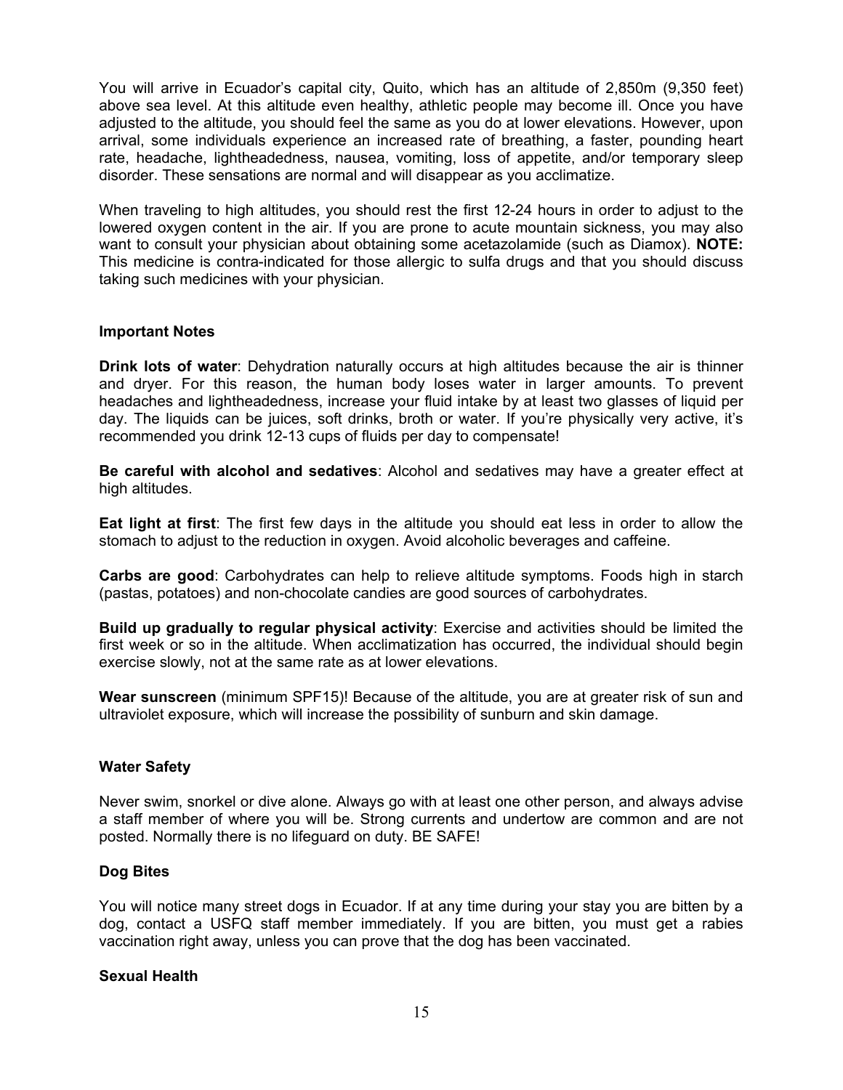You will arrive in Ecuador's capital city, Quito, which has an altitude of 2,850m (9,350 feet) above sea level. At this altitude even healthy, athletic people may become ill. Once you have adjusted to the altitude, you should feel the same as you do at lower elevations. However, upon arrival, some individuals experience an increased rate of breathing, a faster, pounding heart rate, headache, lightheadedness, nausea, vomiting, loss of appetite, and/or temporary sleep disorder. These sensations are normal and will disappear as you acclimatize.

When traveling to high altitudes, you should rest the first 12-24 hours in order to adjust to the lowered oxygen content in the air. If you are prone to acute mountain sickness, you may also want to consult your physician about obtaining some acetazolamide (such as Diamox). **NOTE:** This medicine is contra-indicated for those allergic to sulfa drugs and that you should discuss taking such medicines with your physician.

#### **Important Notes**

**Drink lots of water**: Dehydration naturally occurs at high altitudes because the air is thinner and dryer. For this reason, the human body loses water in larger amounts. To prevent headaches and lightheadedness, increase your fluid intake by at least two glasses of liquid per day. The liquids can be juices, soft drinks, broth or water. If you're physically very active, it's recommended you drink 12-13 cups of fluids per day to compensate!

**Be careful with alcohol and sedatives**: Alcohol and sedatives may have a greater effect at high altitudes.

**Eat light at first**: The first few days in the altitude you should eat less in order to allow the stomach to adjust to the reduction in oxygen. Avoid alcoholic beverages and caffeine.

**Carbs are good**: Carbohydrates can help to relieve altitude symptoms. Foods high in starch (pastas, potatoes) and non-chocolate candies are good sources of carbohydrates.

**Build up gradually to regular physical activity**: Exercise and activities should be limited the first week or so in the altitude. When acclimatization has occurred, the individual should begin exercise slowly, not at the same rate as at lower elevations.

**Wear sunscreen** (minimum SPF15)! Because of the altitude, you are at greater risk of sun and ultraviolet exposure, which will increase the possibility of sunburn and skin damage.

#### **Water Safety**

Never swim, snorkel or dive alone. Always go with at least one other person, and always advise a staff member of where you will be. Strong currents and undertow are common and are not posted. Normally there is no lifeguard on duty. BE SAFE!

#### **Dog Bites**

You will notice many street dogs in Ecuador. If at any time during your stay you are bitten by a dog, contact a USFQ staff member immediately. If you are bitten, you must get a rabies vaccination right away, unless you can prove that the dog has been vaccinated.

#### **Sexual Health**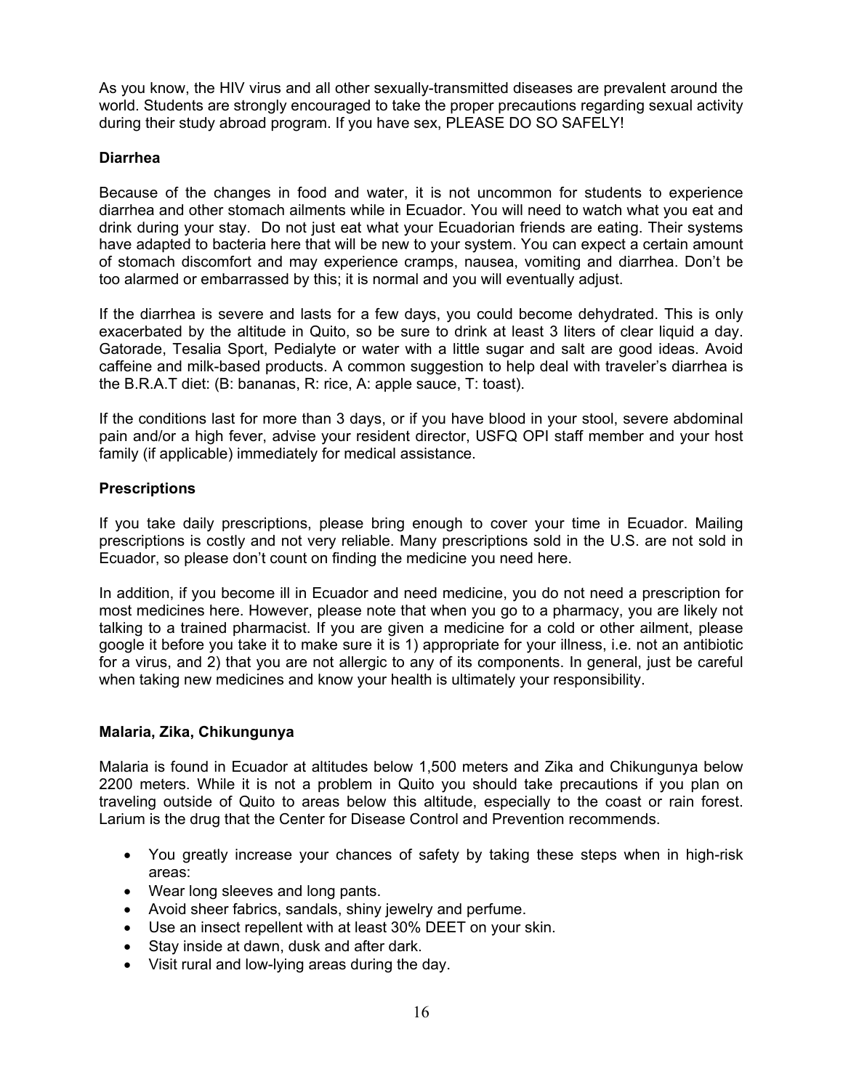As you know, the HIV virus and all other sexually-transmitted diseases are prevalent around the world. Students are strongly encouraged to take the proper precautions regarding sexual activity during their study abroad program. If you have sex, PLEASE DO SO SAFELY!

# **Diarrhea**

Because of the changes in food and water, it is not uncommon for students to experience diarrhea and other stomach ailments while in Ecuador. You will need to watch what you eat and drink during your stay. Do not just eat what your Ecuadorian friends are eating. Their systems have adapted to bacteria here that will be new to your system. You can expect a certain amount of stomach discomfort and may experience cramps, nausea, vomiting and diarrhea. Don't be too alarmed or embarrassed by this; it is normal and you will eventually adjust.

If the diarrhea is severe and lasts for a few days, you could become dehydrated. This is only exacerbated by the altitude in Quito, so be sure to drink at least 3 liters of clear liquid a day. Gatorade, Tesalia Sport, Pedialyte or water with a little sugar and salt are good ideas. Avoid caffeine and milk-based products. A common suggestion to help deal with traveler's diarrhea is the B.R.A.T diet: (B: bananas, R: rice, A: apple sauce, T: toast).

If the conditions last for more than 3 days, or if you have blood in your stool, severe abdominal pain and/or a high fever, advise your resident director, USFQ OPI staff member and your host family (if applicable) immediately for medical assistance.

# **Prescriptions**

If you take daily prescriptions, please bring enough to cover your time in Ecuador. Mailing prescriptions is costly and not very reliable. Many prescriptions sold in the U.S. are not sold in Ecuador, so please don't count on finding the medicine you need here.

In addition, if you become ill in Ecuador and need medicine, you do not need a prescription for most medicines here. However, please note that when you go to a pharmacy, you are likely not talking to a trained pharmacist. If you are given a medicine for a cold or other ailment, please google it before you take it to make sure it is 1) appropriate for your illness, i.e. not an antibiotic for a virus, and 2) that you are not allergic to any of its components. In general, just be careful when taking new medicines and know your health is ultimately your responsibility.

#### **Malaria, Zika, Chikungunya**

Malaria is found in Ecuador at altitudes below 1,500 meters and Zika and Chikungunya below 2200 meters. While it is not a problem in Quito you should take precautions if you plan on traveling outside of Quito to areas below this altitude, especially to the coast or rain forest. Larium is the drug that the Center for Disease Control and Prevention recommends.

- You greatly increase your chances of safety by taking these steps when in high-risk areas:
- Wear long sleeves and long pants.
- Avoid sheer fabrics, sandals, shiny jewelry and perfume.
- Use an insect repellent with at least 30% DEET on your skin.
- Stay inside at dawn, dusk and after dark.
- Visit rural and low-lying areas during the day.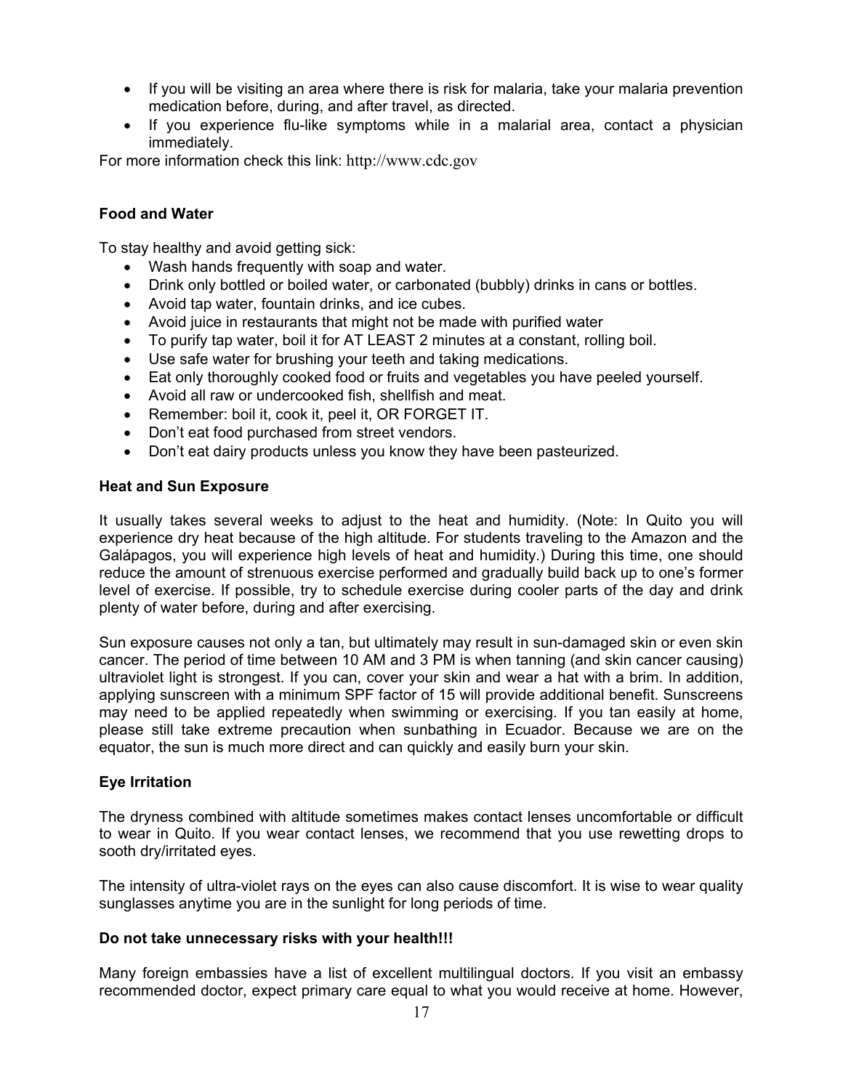- If you will be visiting an area where there is risk for malaria, take your malaria prevention medication before, during, and after travel, as directed.
- If you experience flu-like symptoms while in a malarial area, contact a physician immediately.

For more information check this link: http://www.cdc.gov

# **Food and Water**

To stay healthy and avoid getting sick:

- Wash hands frequently with soap and water.
- Drink only bottled or boiled water, or carbonated (bubbly) drinks in cans or bottles.
- Avoid tap water, fountain drinks, and ice cubes.
- Avoid juice in restaurants that might not be made with purified water
- To purify tap water, boil it for AT LEAST 2 minutes at a constant, rolling boil.
- Use safe water for brushing your teeth and taking medications.
- Eat only thoroughly cooked food or fruits and vegetables you have peeled yourself.
- Avoid all raw or undercooked fish, shellfish and meat.
- Remember: boil it, cook it, peel it, OR FORGET IT.
- Don't eat food purchased from street vendors.
- Don't eat dairy products unless you know they have been pasteurized.

#### **Heat and Sun Exposure**

It usually takes several weeks to adjust to the heat and humidity. (Note: In Quito you will experience dry heat because of the high altitude. For students traveling to the Amazon and the Galápagos, you will experience high levels of heat and humidity.) During this time, one should reduce the amount of strenuous exercise performed and gradually build back up to one's former level of exercise. If possible, try to schedule exercise during cooler parts of the day and drink plenty of water before, during and after exercising.

Sun exposure causes not only a tan, but ultimately may result in sun-damaged skin or even skin cancer. The period of time between 10 AM and 3 PM is when tanning (and skin cancer causing) ultraviolet light is strongest. If you can, cover your skin and wear a hat with a brim. In addition, applying sunscreen with a minimum SPF factor of 15 will provide additional benefit. Sunscreens may need to be applied repeatedly when swimming or exercising. If you tan easily at home, please still take extreme precaution when sunbathing in Ecuador. Because we are on the equator, the sun is much more direct and can quickly and easily burn your skin.

# **Eye Irritation**

The dryness combined with altitude sometimes makes contact lenses uncomfortable or difficult to wear in Quito. If you wear contact lenses, we recommend that you use rewetting drops to sooth dry/irritated eyes.

The intensity of ultra-violet rays on the eyes can also cause discomfort. It is wise to wear quality sunglasses anytime you are in the sunlight for long periods of time.

#### **Do not take unnecessary risks with your health!!!**

Many foreign embassies have a list of excellent multilingual doctors. If you visit an embassy recommended doctor, expect primary care equal to what you would receive at home. However,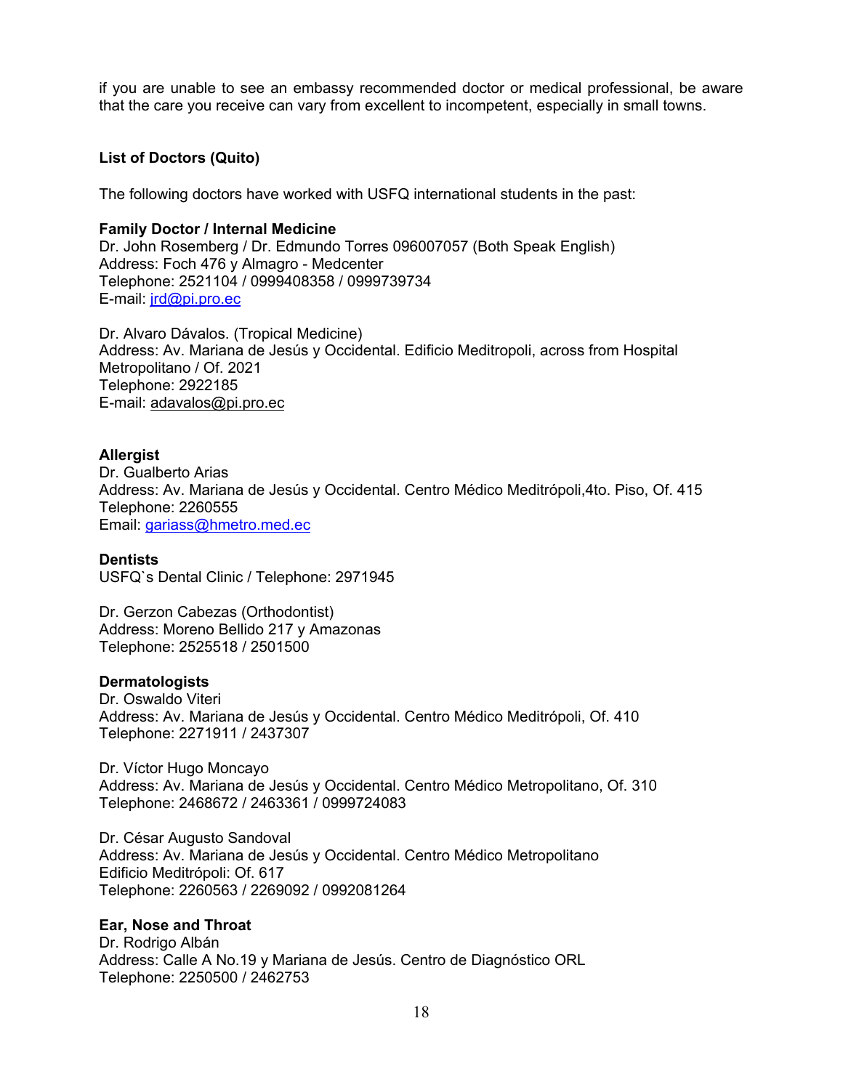if you are unable to see an embassy recommended doctor or medical professional, be aware that the care you receive can vary from excellent to incompetent, especially in small towns.

# **List of Doctors (Quito)**

The following doctors have worked with USFQ international students in the past:

## **Family Doctor / Internal Medicine**

Dr. John Rosemberg / Dr. Edmundo Torres 096007057 (Both Speak English) Address: Foch 476 y Almagro - Medcenter Telephone: 2521104 / 0999408358 / 0999739734 E-mail: jrd@pi.pro.ec

Dr. Alvaro Dávalos. (Tropical Medicine) Address: Av. Mariana de Jesús y Occidental. Edificio Meditropoli, across from Hospital Metropolitano / Of. 2021 Telephone: 2922185 E-mail: adavalos@pi.pro.ec

# **Allergist**

Dr. Gualberto Arias Address: Av. Mariana de Jesús y Occidental. Centro Médico Meditrópoli,4to. Piso, Of. 415 Telephone: 2260555 Email: gariass@hmetro.med.ec

# **Dentists**

USFQ`s Dental Clinic / Telephone: 2971945

Dr. Gerzon Cabezas (Orthodontist) Address: Moreno Bellido 217 y Amazonas Telephone: 2525518 / 2501500

#### **Dermatologists**

Dr. Oswaldo Viteri Address: Av. Mariana de Jesús y Occidental. Centro Médico Meditrópoli, Of. 410 Telephone: 2271911 / 2437307

Dr. Víctor Hugo Moncayo Address: Av. Mariana de Jesús y Occidental. Centro Médico Metropolitano, Of. 310 Telephone: 2468672 / 2463361 / 0999724083

Dr. César Augusto Sandoval Address: Av. Mariana de Jesús y Occidental. Centro Médico Metropolitano Edificio Meditrópoli: Of. 617 Telephone: 2260563 / 2269092 / 0992081264

# **Ear, Nose and Throat**

Dr. Rodrigo Albán Address: Calle A No.19 y Mariana de Jesús. Centro de Diagnóstico ORL Telephone: 2250500 / 2462753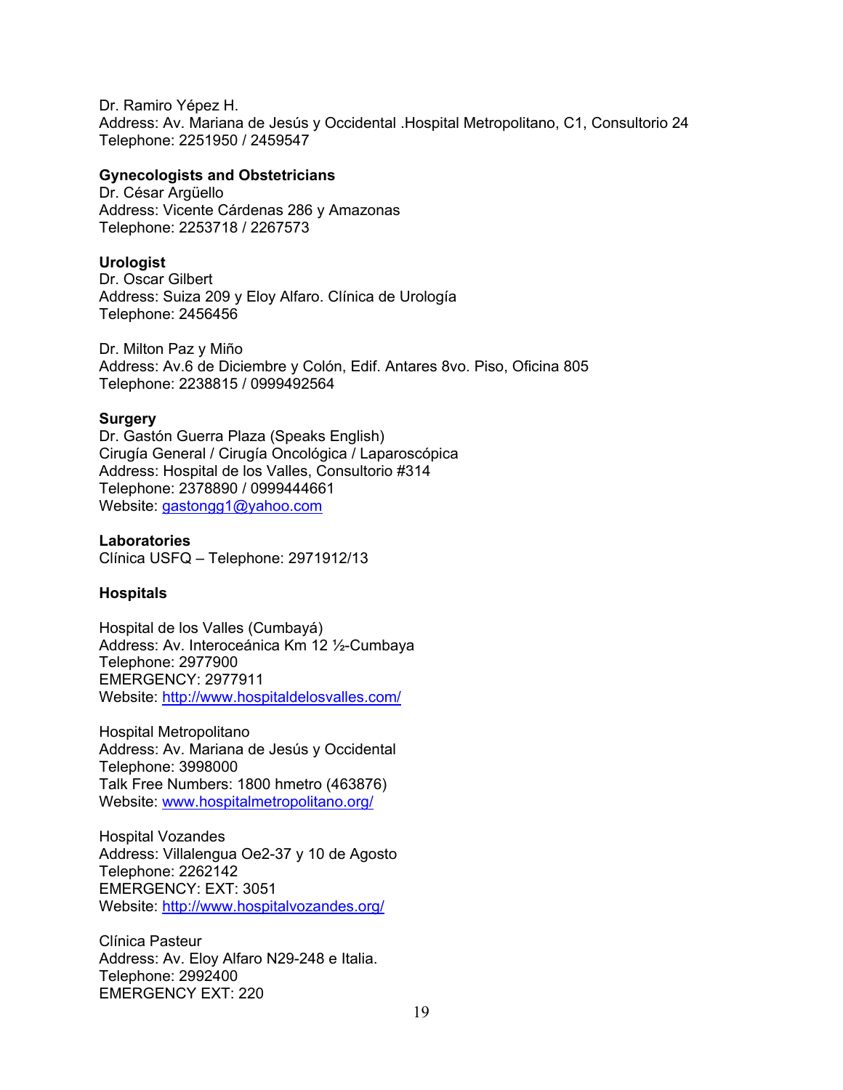Dr. Ramiro Yépez H. Address: Av. Mariana de Jesús y Occidental .Hospital Metropolitano, C1, Consultorio 24 Telephone: 2251950 / 2459547

#### **Gynecologists and Obstetricians**

Dr. César Argüello Address: Vicente Cárdenas 286 y Amazonas Telephone: 2253718 / 2267573

#### **Urologist**

Dr. Oscar Gilbert Address: Suiza 209 y Eloy Alfaro. Clínica de Urología Telephone: 2456456

Dr. Milton Paz y Miño Address: Av.6 de Diciembre y Colón, Edif. Antares 8vo. Piso, Oficina 805 Telephone: 2238815 / 0999492564

#### **Surgery**

Dr. Gastón Guerra Plaza (Speaks English) Cirugía General / Cirugía Oncológica / Laparoscópica Address: Hospital de los Valles, Consultorio #314 Telephone: 2378890 / 0999444661 Website: gastongg1@yahoo.com

**Laboratories**  Clínica USFQ – Telephone: 2971912/13

# **Hospitals**

Hospital de los Valles (Cumbayá) Address: Av. Interoceánica Km 12 ½-Cumbaya Telephone: 2977900 EMERGENCY: 2977911 Website: http://www.hospitaldelosvalles.com/

Hospital Metropolitano Address: Av. Mariana de Jesús y Occidental Telephone: 3998000 Talk Free Numbers: 1800 hmetro (463876) Website: www.hospitalmetropolitano.org/

Hospital Vozandes Address: Villalengua Oe2-37 y 10 de Agosto Telephone: 2262142 EMERGENCY: EXT: 3051 Website: http://www.hospitalvozandes.org/

Clínica Pasteur Address: Av. Eloy Alfaro N29-248 e Italia. Telephone: 2992400 EMERGENCY EXT: 220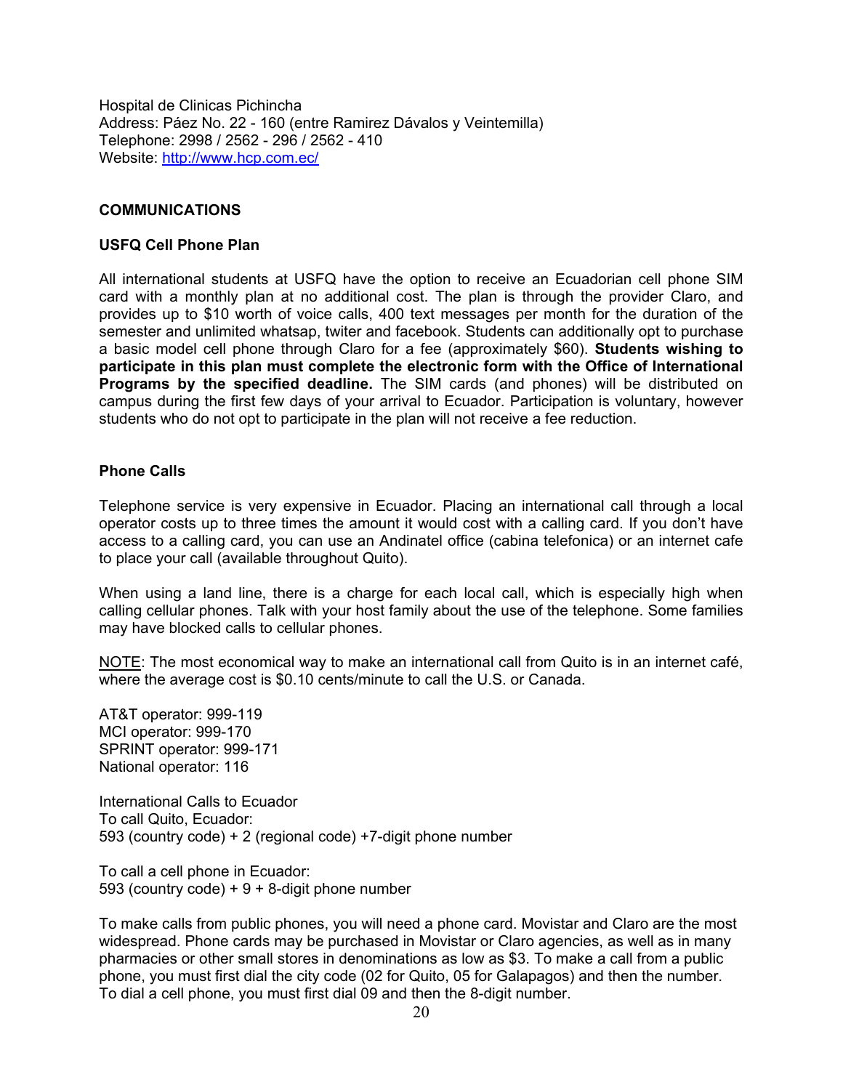Hospital de Clinicas Pichincha Address: Páez No. 22 - 160 (entre Ramirez Dávalos y Veintemilla) Telephone: 2998 / 2562 - 296 / 2562 - 410 Website: http://www.hcp.com.ec/

#### **COMMUNICATIONS**

#### **USFQ Cell Phone Plan**

All international students at USFQ have the option to receive an Ecuadorian cell phone SIM card with a monthly plan at no additional cost. The plan is through the provider Claro, and provides up to \$10 worth of voice calls, 400 text messages per month for the duration of the semester and unlimited whatsap, twiter and facebook. Students can additionally opt to purchase a basic model cell phone through Claro for a fee (approximately \$60). **Students wishing to participate in this plan must complete the electronic form with the Office of International Programs by the specified deadline.** The SIM cards (and phones) will be distributed on campus during the first few days of your arrival to Ecuador. Participation is voluntary, however students who do not opt to participate in the plan will not receive a fee reduction.

#### **Phone Calls**

Telephone service is very expensive in Ecuador. Placing an international call through a local operator costs up to three times the amount it would cost with a calling card. If you don't have access to a calling card, you can use an Andinatel office (cabina telefonica) or an internet cafe to place your call (available throughout Quito).

When using a land line, there is a charge for each local call, which is especially high when calling cellular phones. Talk with your host family about the use of the telephone. Some families may have blocked calls to cellular phones.

NOTE: The most economical way to make an international call from Quito is in an internet café, where the average cost is \$0.10 cents/minute to call the U.S. or Canada.

AT&T operator: 999-119 MCI operator: 999-170 SPRINT operator: 999-171 National operator: 116

International Calls to Ecuador To call Quito, Ecuador: 593 (country code) + 2 (regional code) +7-digit phone number

To call a cell phone in Ecuador: 593 (country code)  $+9 + 8$ -digit phone number

To make calls from public phones, you will need a phone card. Movistar and Claro are the most widespread. Phone cards may be purchased in Movistar or Claro agencies, as well as in many pharmacies or other small stores in denominations as low as \$3. To make a call from a public phone, you must first dial the city code (02 for Quito, 05 for Galapagos) and then the number. To dial a cell phone, you must first dial 09 and then the 8-digit number.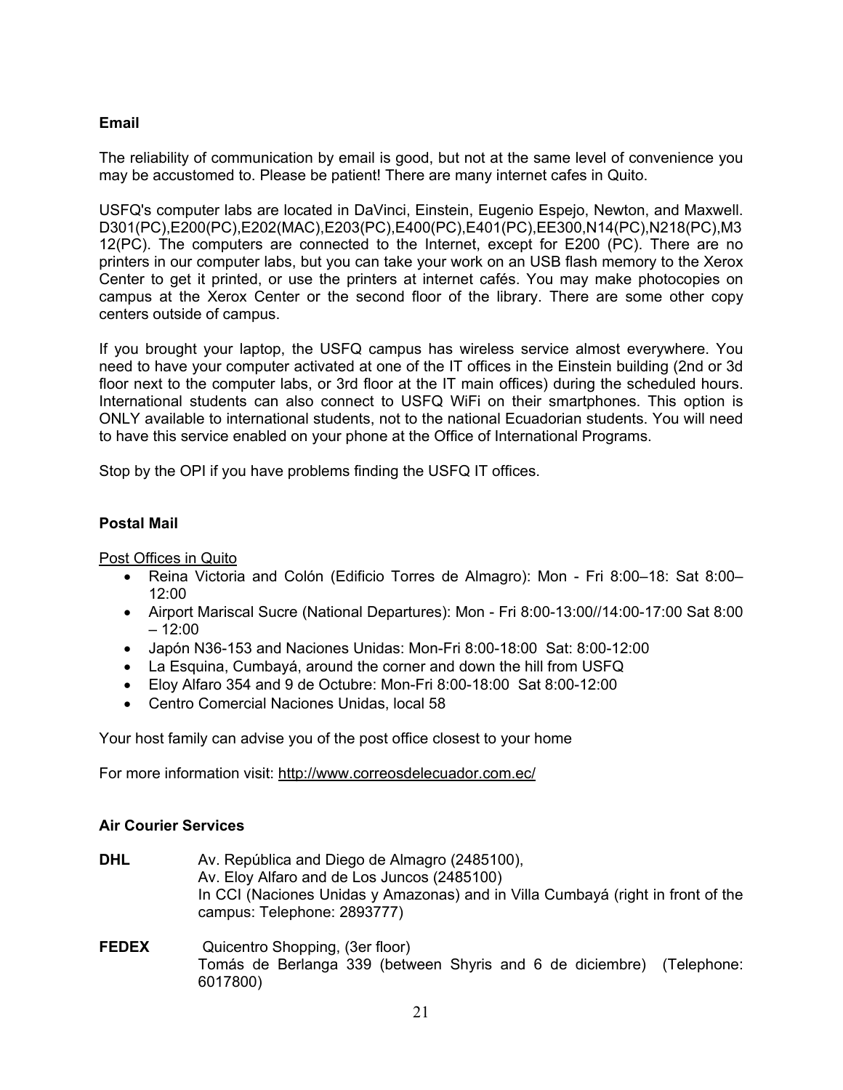# **Email**

The reliability of communication by email is good, but not at the same level of convenience you may be accustomed to. Please be patient! There are many internet cafes in Quito.

USFQ's computer labs are located in DaVinci, Einstein, Eugenio Espejo, Newton, and Maxwell. D301(PC),E200(PC),E202(MAC),E203(PC),E400(PC),E401(PC),EE300,N14(PC),N218(PC),M3 12(PC). The computers are connected to the Internet, except for E200 (PC). There are no printers in our computer labs, but you can take your work on an USB flash memory to the Xerox Center to get it printed, or use the printers at internet cafés. You may make photocopies on campus at the Xerox Center or the second floor of the library. There are some other copy centers outside of campus.

If you brought your laptop, the USFQ campus has wireless service almost everywhere. You need to have your computer activated at one of the IT offices in the Einstein building (2nd or 3d floor next to the computer labs, or 3rd floor at the IT main offices) during the scheduled hours. International students can also connect to USFQ WiFi on their smartphones. This option is ONLY available to international students, not to the national Ecuadorian students. You will need to have this service enabled on your phone at the Office of International Programs.

Stop by the OPI if you have problems finding the USFQ IT offices.

# **Postal Mail**

Post Offices in Quito

- Reina Victoria and Colón (Edificio Torres de Almagro): Mon Fri 8:00–18: Sat 8:00–  $12:00$
- Airport Mariscal Sucre (National Departures): Mon Fri 8:00-13:00//14:00-17:00 Sat 8:00  $-12:00$
- Japón N36-153 and Naciones Unidas: Mon-Fri 8:00-18:00 Sat: 8:00-12:00
- La Esquina, Cumbayá, around the corner and down the hill from USFQ
- Eloy Alfaro 354 and 9 de Octubre: Mon-Fri 8:00-18:00 Sat 8:00-12:00
- Centro Comercial Naciones Unidas, local 58

Your host family can advise you of the post office closest to your home

For more information visit: http://www.correosdelecuador.com.ec/

#### **Air Courier Services**

- **DHL** Av. República and Diego de Almagro (2485100), Av. Eloy Alfaro and de Los Juncos (2485100) In CCI (Naciones Unidas y Amazonas) and in Villa Cumbayá (right in front of the campus: Telephone: 2893777)
- **FEDEX** Quicentro Shopping, (3er floor) Tomás de Berlanga 339 (between Shyris and 6 de diciembre) (Telephone: 6017800)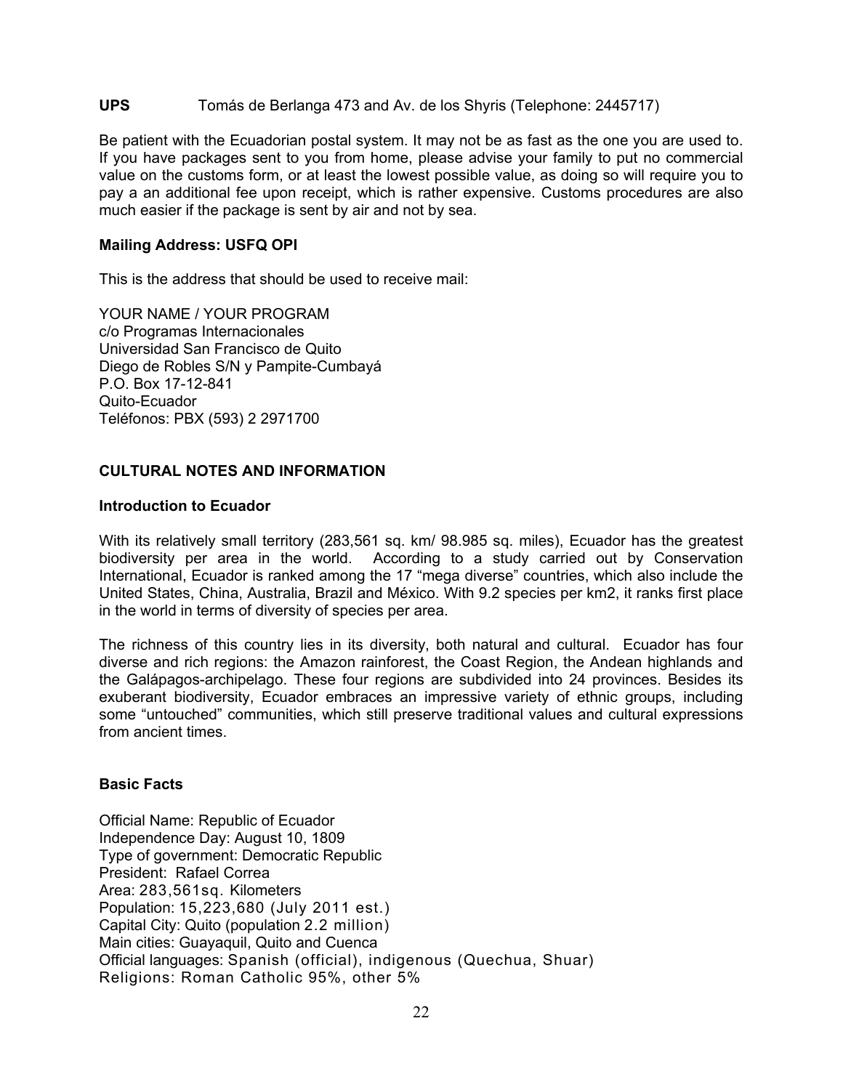#### **UPS** Tomás de Berlanga 473 and Av. de los Shyris (Telephone: 2445717)

Be patient with the Ecuadorian postal system. It may not be as fast as the one you are used to. If you have packages sent to you from home, please advise your family to put no commercial value on the customs form, or at least the lowest possible value, as doing so will require you to pay a an additional fee upon receipt, which is rather expensive. Customs procedures are also much easier if the package is sent by air and not by sea.

#### **Mailing Address: USFQ OPI**

This is the address that should be used to receive mail:

YOUR NAME / YOUR PROGRAM c/o Programas Internacionales Universidad San Francisco de Quito Diego de Robles S/N y Pampite-Cumbayá P.O. Box 17-12-841 Quito-Ecuador Teléfonos: PBX (593) 2 2971700

# **CULTURAL NOTES AND INFORMATION**

#### **Introduction to Ecuador**

With its relatively small territory (283,561 sq. km/ 98.985 sq. miles), Ecuador has the greatest biodiversity per area in the world. According to a study carried out by Conservation International, Ecuador is ranked among the 17 "mega diverse" countries, which also include the United States, China, Australia, Brazil and México. With 9.2 species per km2, it ranks first place in the world in terms of diversity of species per area.

The richness of this country lies in its diversity, both natural and cultural. Ecuador has four diverse and rich regions: the Amazon rainforest, the Coast Region, the Andean highlands and the Galápagos-archipelago. These four regions are subdivided into 24 provinces. Besides its exuberant biodiversity, Ecuador embraces an impressive variety of ethnic groups, including some "untouched" communities, which still preserve traditional values and cultural expressions from ancient times.

#### **Basic Facts**

Official Name: Republic of Ecuador Independence Day: August 10, 1809 Type of government: Democratic Republic President: Rafael Correa Area: 283,561sq. Kilometers Population: 15,223,680 (July 2011 est.) Capital City: Quito (population 2.2 million) Main cities: Guayaquil, Quito and Cuenca Official languages: Spanish (official), indigenous (Quechua, Shuar) Religions: Roman Catholic 95%, other 5%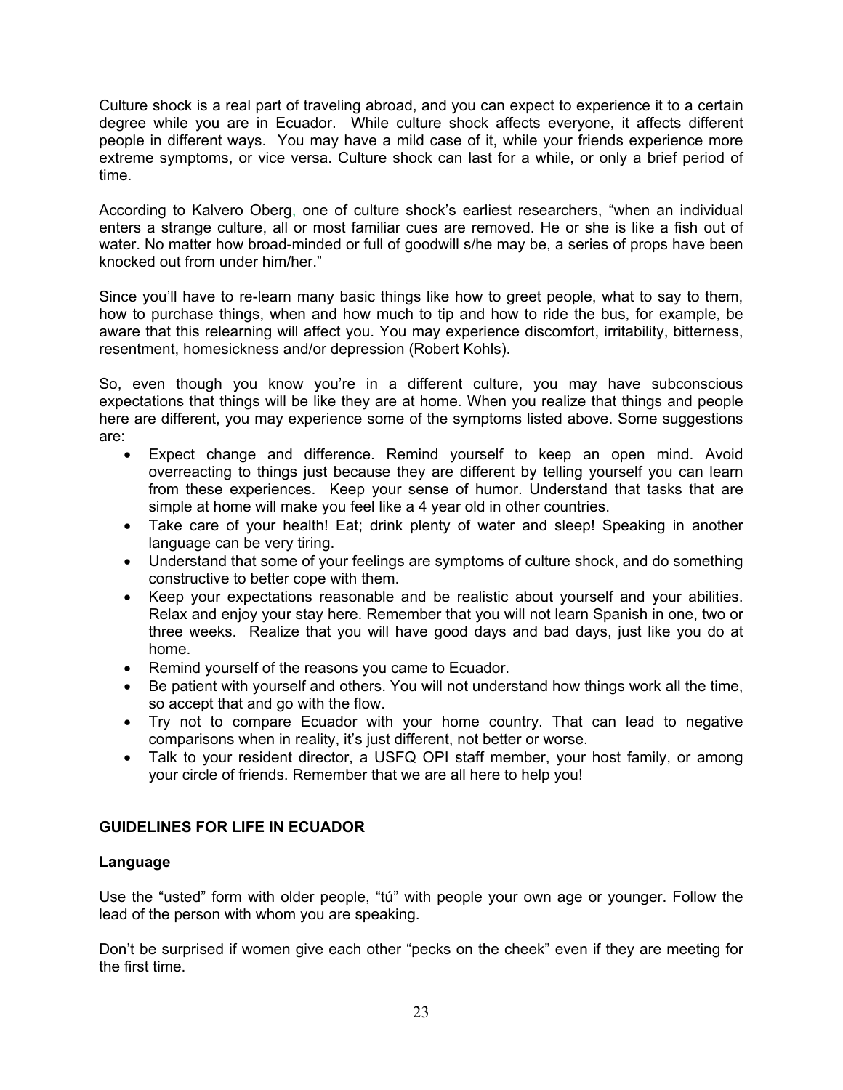Culture shock is a real part of traveling abroad, and you can expect to experience it to a certain degree while you are in Ecuador. While culture shock affects everyone, it affects different people in different ways. You may have a mild case of it, while your friends experience more extreme symptoms, or vice versa. Culture shock can last for a while, or only a brief period of time.

According to Kalvero Oberg, one of culture shock's earliest researchers, "when an individual enters a strange culture, all or most familiar cues are removed. He or she is like a fish out of water. No matter how broad-minded or full of goodwill s/he may be, a series of props have been knocked out from under him/her."

Since you'll have to re-learn many basic things like how to greet people, what to say to them, how to purchase things, when and how much to tip and how to ride the bus, for example, be aware that this relearning will affect you. You may experience discomfort, irritability, bitterness, resentment, homesickness and/or depression (Robert Kohls).

So, even though you know you're in a different culture, you may have subconscious expectations that things will be like they are at home. When you realize that things and people here are different, you may experience some of the symptoms listed above. Some suggestions are:

- Expect change and difference. Remind yourself to keep an open mind. Avoid overreacting to things just because they are different by telling yourself you can learn from these experiences. Keep your sense of humor. Understand that tasks that are simple at home will make you feel like a 4 year old in other countries.
- Take care of your health! Eat; drink plenty of water and sleep! Speaking in another language can be very tiring.
- Understand that some of your feelings are symptoms of culture shock, and do something constructive to better cope with them.
- Keep your expectations reasonable and be realistic about yourself and your abilities. Relax and enjoy your stay here. Remember that you will not learn Spanish in one, two or three weeks. Realize that you will have good days and bad days, just like you do at home.
- Remind yourself of the reasons you came to Ecuador.
- Be patient with yourself and others. You will not understand how things work all the time, so accept that and go with the flow.
- Try not to compare Ecuador with your home country. That can lead to negative comparisons when in reality, it's just different, not better or worse.
- Talk to your resident director, a USFQ OPI staff member, your host family, or among your circle of friends. Remember that we are all here to help you!

# **GUIDELINES FOR LIFE IN ECUADOR**

# **Language**

Use the "usted" form with older people, "tú" with people your own age or younger. Follow the lead of the person with whom you are speaking.

Don't be surprised if women give each other "pecks on the cheek" even if they are meeting for the first time.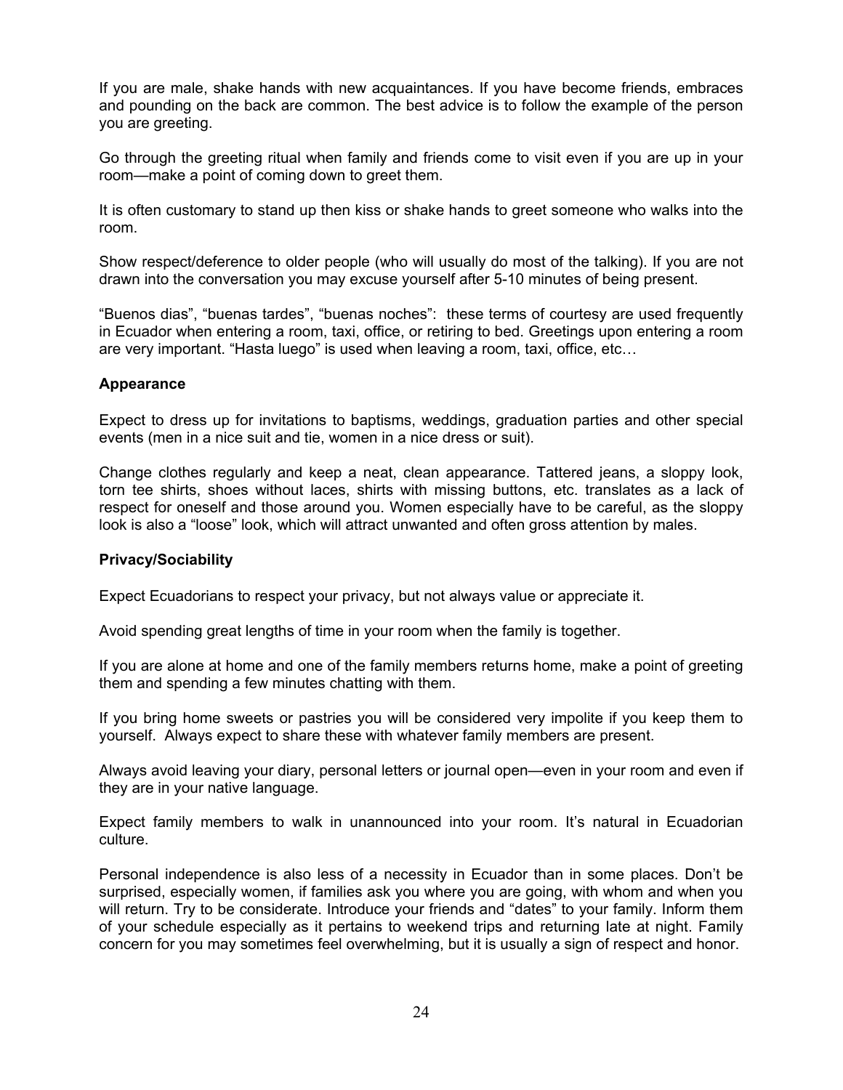If you are male, shake hands with new acquaintances. If you have become friends, embraces and pounding on the back are common. The best advice is to follow the example of the person you are greeting.

Go through the greeting ritual when family and friends come to visit even if you are up in your room—make a point of coming down to greet them.

It is often customary to stand up then kiss or shake hands to greet someone who walks into the room.

Show respect/deference to older people (who will usually do most of the talking). If you are not drawn into the conversation you may excuse yourself after 5-10 minutes of being present.

"Buenos dias", "buenas tardes", "buenas noches": these terms of courtesy are used frequently in Ecuador when entering a room, taxi, office, or retiring to bed. Greetings upon entering a room are very important. "Hasta luego" is used when leaving a room, taxi, office, etc…

#### **Appearance**

Expect to dress up for invitations to baptisms, weddings, graduation parties and other special events (men in a nice suit and tie, women in a nice dress or suit).

Change clothes regularly and keep a neat, clean appearance. Tattered jeans, a sloppy look, torn tee shirts, shoes without laces, shirts with missing buttons, etc. translates as a lack of respect for oneself and those around you. Women especially have to be careful, as the sloppy look is also a "loose" look, which will attract unwanted and often gross attention by males.

#### **Privacy/Sociability**

Expect Ecuadorians to respect your privacy, but not always value or appreciate it.

Avoid spending great lengths of time in your room when the family is together.

If you are alone at home and one of the family members returns home, make a point of greeting them and spending a few minutes chatting with them.

If you bring home sweets or pastries you will be considered very impolite if you keep them to yourself. Always expect to share these with whatever family members are present.

Always avoid leaving your diary, personal letters or journal open—even in your room and even if they are in your native language.

Expect family members to walk in unannounced into your room. It's natural in Ecuadorian culture.

Personal independence is also less of a necessity in Ecuador than in some places. Don't be surprised, especially women, if families ask you where you are going, with whom and when you will return. Try to be considerate. Introduce your friends and "dates" to your family. Inform them of your schedule especially as it pertains to weekend trips and returning late at night. Family concern for you may sometimes feel overwhelming, but it is usually a sign of respect and honor.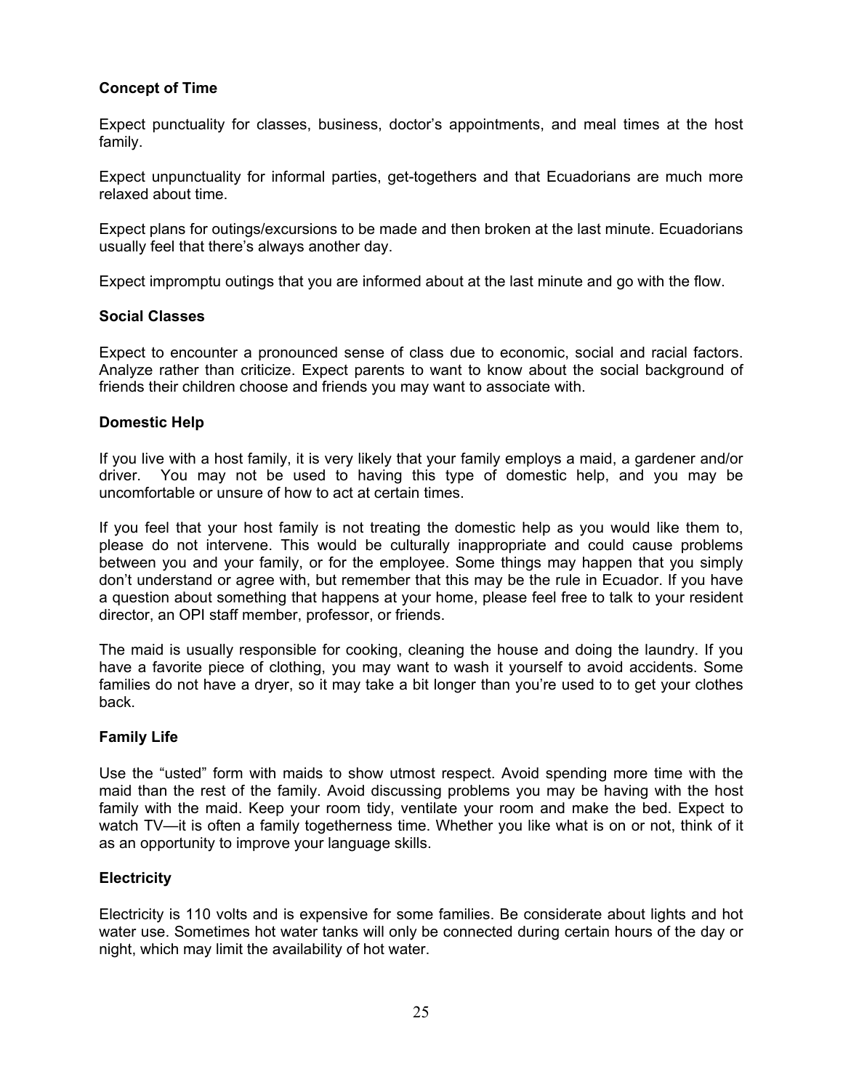# **Concept of Time**

Expect punctuality for classes, business, doctor's appointments, and meal times at the host family.

Expect unpunctuality for informal parties, get-togethers and that Ecuadorians are much more relaxed about time.

Expect plans for outings/excursions to be made and then broken at the last minute. Ecuadorians usually feel that there's always another day.

Expect impromptu outings that you are informed about at the last minute and go with the flow.

#### **Social Classes**

Expect to encounter a pronounced sense of class due to economic, social and racial factors. Analyze rather than criticize. Expect parents to want to know about the social background of friends their children choose and friends you may want to associate with.

#### **Domestic Help**

If you live with a host family, it is very likely that your family employs a maid, a gardener and/or driver. You may not be used to having this type of domestic help, and you may be uncomfortable or unsure of how to act at certain times.

If you feel that your host family is not treating the domestic help as you would like them to, please do not intervene. This would be culturally inappropriate and could cause problems between you and your family, or for the employee. Some things may happen that you simply don't understand or agree with, but remember that this may be the rule in Ecuador. If you have a question about something that happens at your home, please feel free to talk to your resident director, an OPI staff member, professor, or friends.

The maid is usually responsible for cooking, cleaning the house and doing the laundry. If you have a favorite piece of clothing, you may want to wash it yourself to avoid accidents. Some families do not have a dryer, so it may take a bit longer than you're used to to get your clothes back.

# **Family Life**

Use the "usted" form with maids to show utmost respect. Avoid spending more time with the maid than the rest of the family. Avoid discussing problems you may be having with the host family with the maid. Keep your room tidy, ventilate your room and make the bed. Expect to watch TV—it is often a family togetherness time. Whether you like what is on or not, think of it as an opportunity to improve your language skills.

# **Electricity**

Electricity is 110 volts and is expensive for some families. Be considerate about lights and hot water use. Sometimes hot water tanks will only be connected during certain hours of the day or night, which may limit the availability of hot water.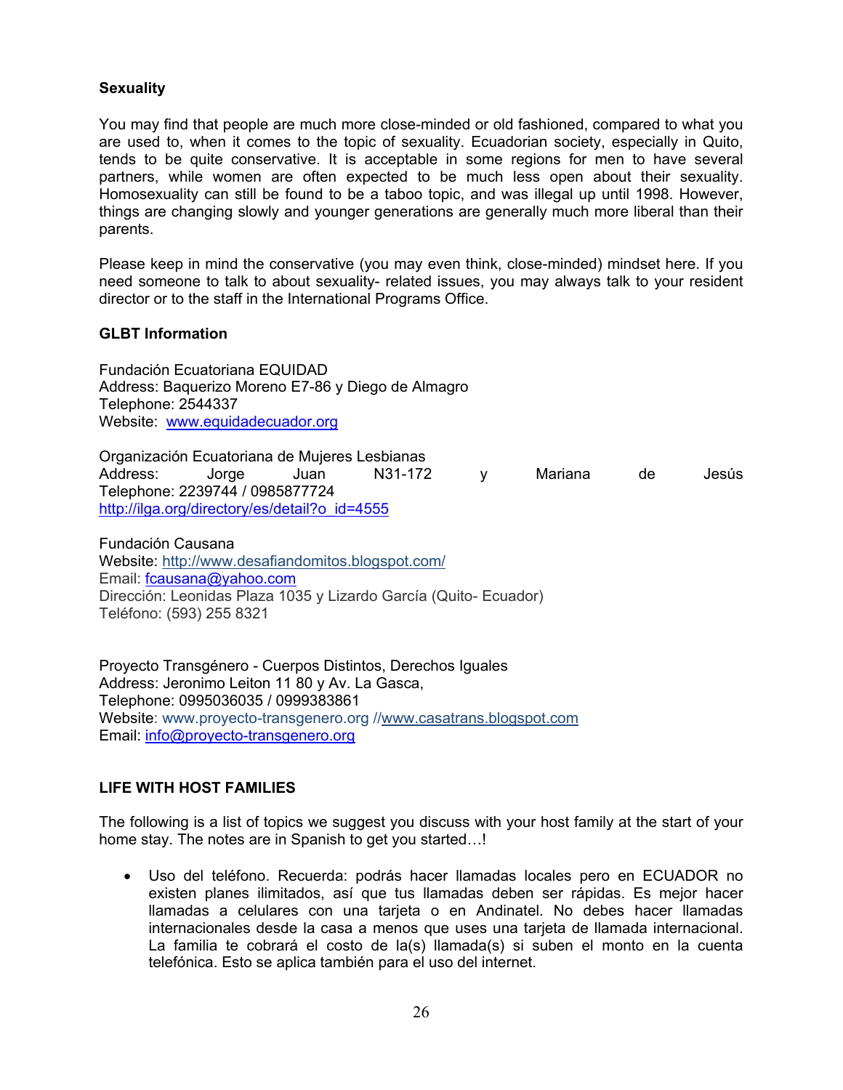# **Sexuality**

You may find that people are much more close-minded or old fashioned, compared to what you are used to, when it comes to the topic of sexuality. Ecuadorian society, especially in Quito, tends to be quite conservative. It is acceptable in some regions for men to have several partners, while women are often expected to be much less open about their sexuality. Homosexuality can still be found to be a taboo topic, and was illegal up until 1998. However, things are changing slowly and younger generations are generally much more liberal than their parents.

Please keep in mind the conservative (you may even think, close-minded) mindset here. If you need someone to talk to about sexuality- related issues, you may always talk to your resident director or to the staff in the International Programs Office.

#### **GLBT Information**

Fundación Ecuatoriana EQUIDAD Address: Baquerizo Moreno E7-86 y Diego de Almagro Telephone: 2544337 Website: www.equidadecuador.org

Organización Ecuatoriana de Mujeres Lesbianas Address: Jorge Juan N31-172 y Mariana de Jesús Telephone: 2239744 / 0985877724 http://ilga.org/directory/es/detail?o\_id=4555

Fundación Causana Website: http://www.desafiandomitos.blogspot.com/ Email: fcausana@yahoo.com Dirección: Leonidas Plaza 1035 y Lizardo García (Quito- Ecuador) Teléfono: (593) 255 8321

Proyecto Transgénero - Cuerpos Distintos, Derechos Iguales Address: Jeronimo Leiton 11 80 y Av. La Gasca, Telephone: 0995036035 / 0999383861 Website: www.proyecto-transgenero.org //www.casatrans.blogspot.com Email: info@proyecto-transgenero.org

# **LIFE WITH HOST FAMILIES**

The following is a list of topics we suggest you discuss with your host family at the start of your home stay. The notes are in Spanish to get you started…!

 Uso del teléfono. Recuerda: podrás hacer llamadas locales pero en ECUADOR no existen planes ilimitados, así que tus llamadas deben ser rápidas. Es mejor hacer llamadas a celulares con una tarjeta o en Andinatel. No debes hacer llamadas internacionales desde la casa a menos que uses una tarjeta de llamada internacional. La familia te cobrará el costo de la(s) llamada(s) si suben el monto en la cuenta telefónica. Esto se aplica también para el uso del internet.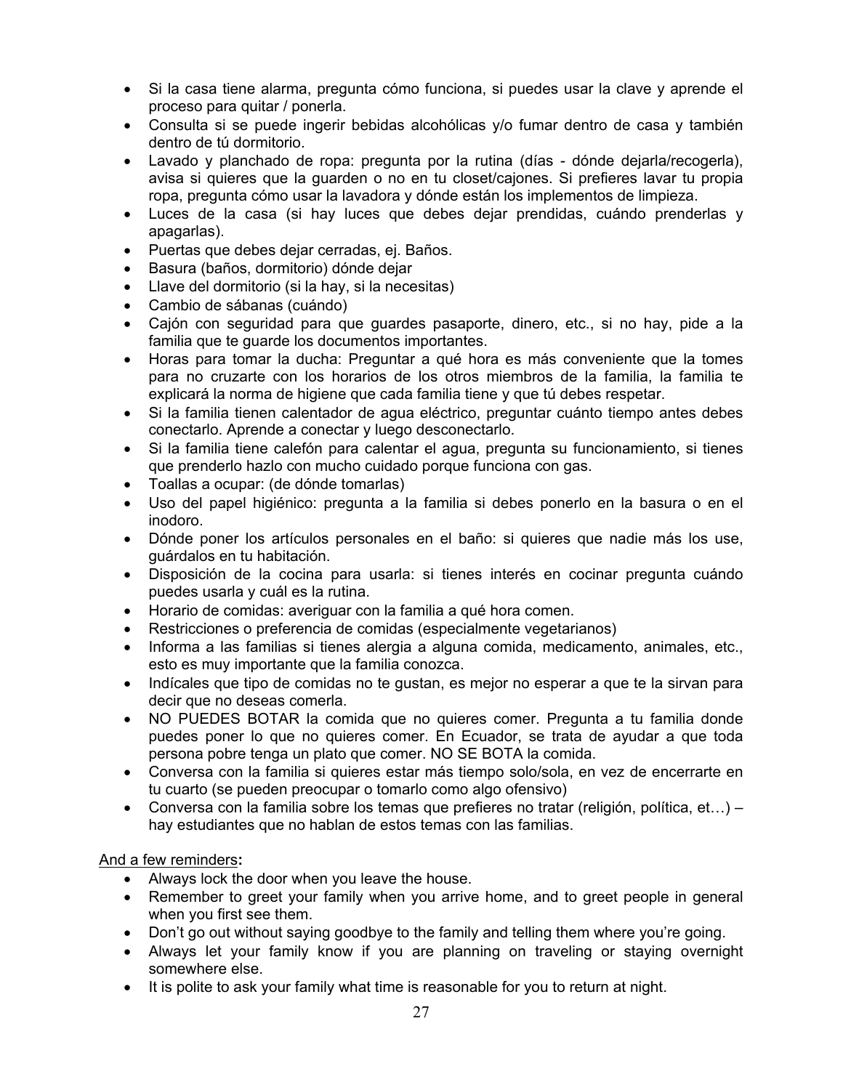- Si la casa tiene alarma, pregunta cómo funciona, si puedes usar la clave y aprende el proceso para quitar / ponerla.
- Consulta si se puede ingerir bebidas alcohólicas y/o fumar dentro de casa y también dentro de tú dormitorio.
- Lavado y planchado de ropa: pregunta por la rutina (días dónde dejarla/recogerla), avisa si quieres que la guarden o no en tu closet/cajones. Si prefieres lavar tu propia ropa, pregunta cómo usar la lavadora y dónde están los implementos de limpieza.
- Luces de la casa (si hay luces que debes dejar prendidas, cuándo prenderlas y apagarlas).
- Puertas que debes dejar cerradas, ej. Baños.
- Basura (baños, dormitorio) dónde dejar
- Llave del dormitorio (si la hay, si la necesitas)
- Cambio de sábanas (cuándo)
- Cajón con seguridad para que guardes pasaporte, dinero, etc., si no hay, pide a la familia que te guarde los documentos importantes.
- Horas para tomar la ducha: Preguntar a qué hora es más conveniente que la tomes para no cruzarte con los horarios de los otros miembros de la familia, la familia te explicará la norma de higiene que cada familia tiene y que tú debes respetar.
- Si la familia tienen calentador de agua eléctrico, preguntar cuánto tiempo antes debes conectarlo. Aprende a conectar y luego desconectarlo.
- Si la familia tiene calefón para calentar el agua, pregunta su funcionamiento, si tienes que prenderlo hazlo con mucho cuidado porque funciona con gas.
- Toallas a ocupar: (de dónde tomarlas)
- Uso del papel higiénico: pregunta a la familia si debes ponerlo en la basura o en el inodoro.
- Dónde poner los artículos personales en el baño: si quieres que nadie más los use, guárdalos en tu habitación.
- Disposición de la cocina para usarla: si tienes interés en cocinar pregunta cuándo puedes usarla y cuál es la rutina.
- Horario de comidas: averiguar con la familia a qué hora comen.
- Restricciones o preferencia de comidas (especialmente vegetarianos)
- Informa a las familias si tienes alergia a alguna comida, medicamento, animales, etc., esto es muy importante que la familia conozca.
- Indícales que tipo de comidas no te qustan, es mejor no esperar a que te la sirvan para decir que no deseas comerla.
- NO PUEDES BOTAR la comida que no quieres comer. Pregunta a tu familia donde puedes poner lo que no quieres comer. En Ecuador, se trata de ayudar a que toda persona pobre tenga un plato que comer. NO SE BOTA la comida.
- Conversa con la familia si quieres estar más tiempo solo/sola, en vez de encerrarte en tu cuarto (se pueden preocupar o tomarlo como algo ofensivo)
- Conversa con la familia sobre los temas que prefieres no tratar (religión, política, et...) hay estudiantes que no hablan de estos temas con las familias.

# And a few reminders**:**

- Always lock the door when you leave the house.
- Remember to greet your family when you arrive home, and to greet people in general when you first see them.
- Don't go out without saying goodbye to the family and telling them where you're going.
- Always let your family know if you are planning on traveling or staying overnight somewhere else.
- It is polite to ask your family what time is reasonable for you to return at night.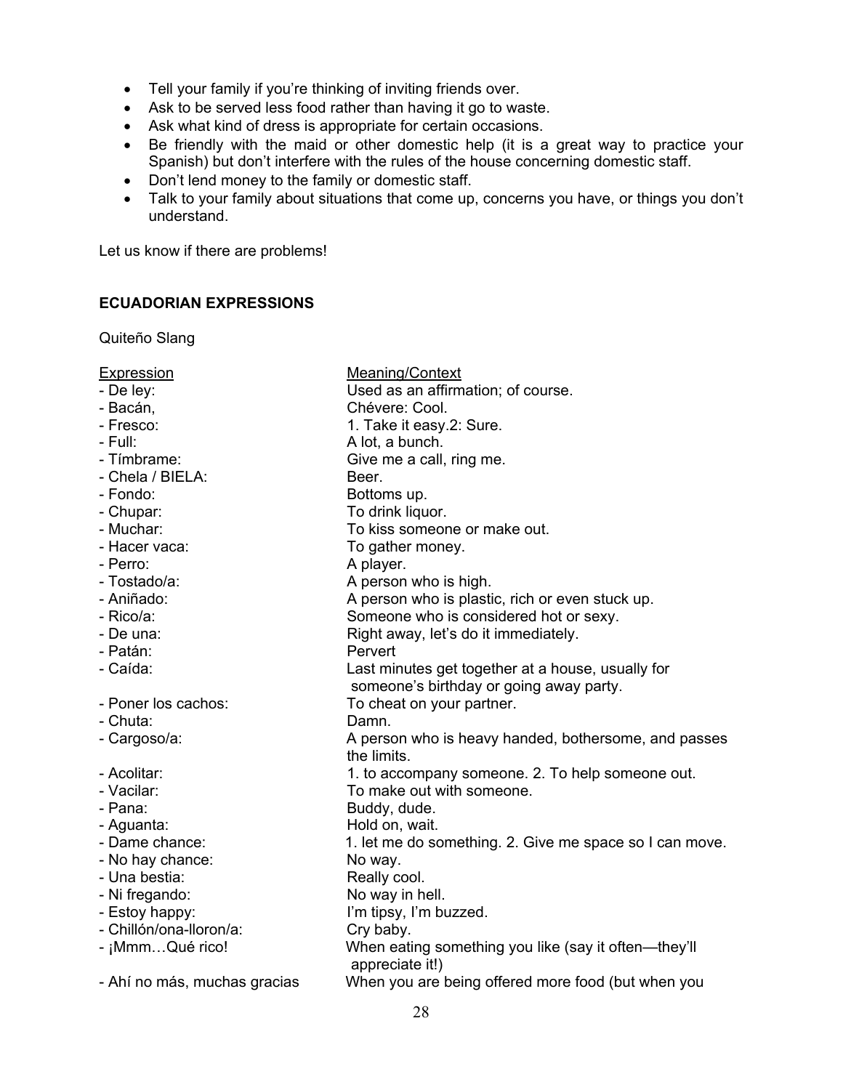- Tell your family if you're thinking of inviting friends over.
- Ask to be served less food rather than having it go to waste.
- Ask what kind of dress is appropriate for certain occasions.
- Be friendly with the maid or other domestic help (it is a great way to practice your Spanish) but don't interfere with the rules of the house concerning domestic staff.
- Don't lend money to the family or domestic staff.
- Talk to your family about situations that come up, concerns you have, or things you don't understand.

Let us know if there are problems!

# **ECUADORIAN EXPRESSIONS**

Quiteño Slang

| Meaning/Context                                                                              |
|----------------------------------------------------------------------------------------------|
| Used as an affirmation; of course.                                                           |
| Chévere: Cool.                                                                               |
| 1. Take it easy.2: Sure.                                                                     |
| A lot, a bunch.                                                                              |
| Give me a call, ring me.                                                                     |
| Beer.                                                                                        |
| Bottoms up.                                                                                  |
| To drink liquor.                                                                             |
| To kiss someone or make out.                                                                 |
| To gather money.                                                                             |
| A player.                                                                                    |
| A person who is high.                                                                        |
| A person who is plastic, rich or even stuck up.                                              |
| Someone who is considered hot or sexy.                                                       |
| Right away, let's do it immediately.                                                         |
| Pervert                                                                                      |
| Last minutes get together at a house, usually for<br>someone's birthday or going away party. |
| To cheat on your partner.                                                                    |
| Damn.                                                                                        |
| A person who is heavy handed, bothersome, and passes<br>the limits.                          |
| 1. to accompany someone. 2. To help someone out.                                             |
| To make out with someone.                                                                    |
| Buddy, dude.                                                                                 |
| Hold on, wait.                                                                               |
| 1. let me do something. 2. Give me space so I can move.                                      |
| No way.                                                                                      |
| Really cool.                                                                                 |
| No way in hell.                                                                              |
| I'm tipsy, I'm buzzed.                                                                       |
| Cry baby.                                                                                    |
| When eating something you like (say it often—they'll<br>appreciate it!)                      |
| When you are being offered more food (but when you                                           |
|                                                                                              |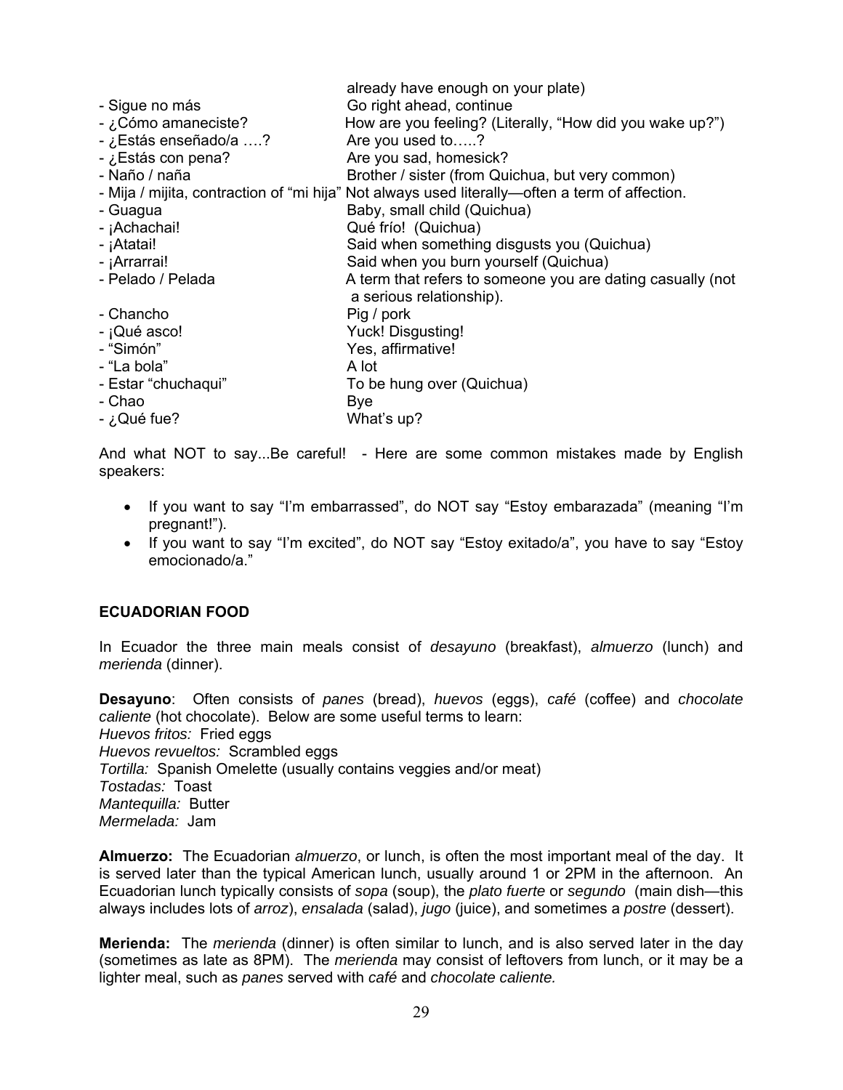|                       | already have enough on your plate)                                                             |
|-----------------------|------------------------------------------------------------------------------------------------|
| - Sigue no más        | Go right ahead, continue                                                                       |
| - ¿Cómo amaneciste?   | How are you feeling? (Literally, "How did you wake up?")                                       |
| - ¿Estás enseñado/a ? | Are you used to?                                                                               |
| - ¿Estás con pena?    | Are you sad, homesick?                                                                         |
| - Naño / naña         | Brother / sister (from Quichua, but very common)                                               |
|                       | - Mija / mijita, contraction of "mi hija" Not always used literally—often a term of affection. |
| - Guagua              | Baby, small child (Quichua)                                                                    |
| - ¡Achachai!          | Qué frío! (Quichua)                                                                            |
| - ¡Atatai!            | Said when something disgusts you (Quichua)                                                     |
| - ¡Arrarrai!          | Said when you burn yourself (Quichua)                                                          |
| - Pelado / Pelada     | A term that refers to someone you are dating casually (not<br>a serious relationship).         |
| - Chancho             | Pig / pork                                                                                     |
| - ¡Qué asco!          | Yuck! Disgusting!                                                                              |
| - "Simón"             | Yes, affirmative!                                                                              |
| - "La bola"           | A lot                                                                                          |
| - Estar "chuchaqui"   | To be hung over (Quichua)                                                                      |
| - Chao                | Bye                                                                                            |
| - ¿Qué fue?           | What's up?                                                                                     |

And what NOT to say...Be careful! - Here are some common mistakes made by English speakers:

- If you want to say "I'm embarrassed", do NOT say "Estoy embarazada" (meaning "I'm pregnant!").
- If you want to say "I'm excited", do NOT say "Estoy exitado/a", you have to say "Estoy emocionado/a."

#### **ECUADORIAN FOOD**

In Ecuador the three main meals consist of *desayuno* (breakfast), *almuerzo* (lunch) and *merienda* (dinner).

**Desayuno**: Often consists of *panes* (bread), *huevos* (eggs), *café* (coffee) and *chocolate caliente* (hot chocolate). Below are some useful terms to learn: *Huevos fritos:* Fried eggs *Huevos revueltos:* Scrambled eggs *Tortilla:* Spanish Omelette (usually contains veggies and/or meat) *Tostadas:* Toast *Mantequilla:* Butter *Mermelada:* Jam

**Almuerzo:** The Ecuadorian *almuerzo*, or lunch, is often the most important meal of the day. It is served later than the typical American lunch, usually around 1 or 2PM in the afternoon. An Ecuadorian lunch typically consists of *sopa* (soup), the *plato fuerte* or *segundo* (main dish—this always includes lots of *arroz*), *ensalada* (salad), *jugo* (juice), and sometimes a *postre* (dessert).

**Merienda:** The *merienda* (dinner) is often similar to lunch, and is also served later in the day (sometimes as late as 8PM). The *merienda* may consist of leftovers from lunch, or it may be a lighter meal, such as *panes* served with *café* and *chocolate caliente.*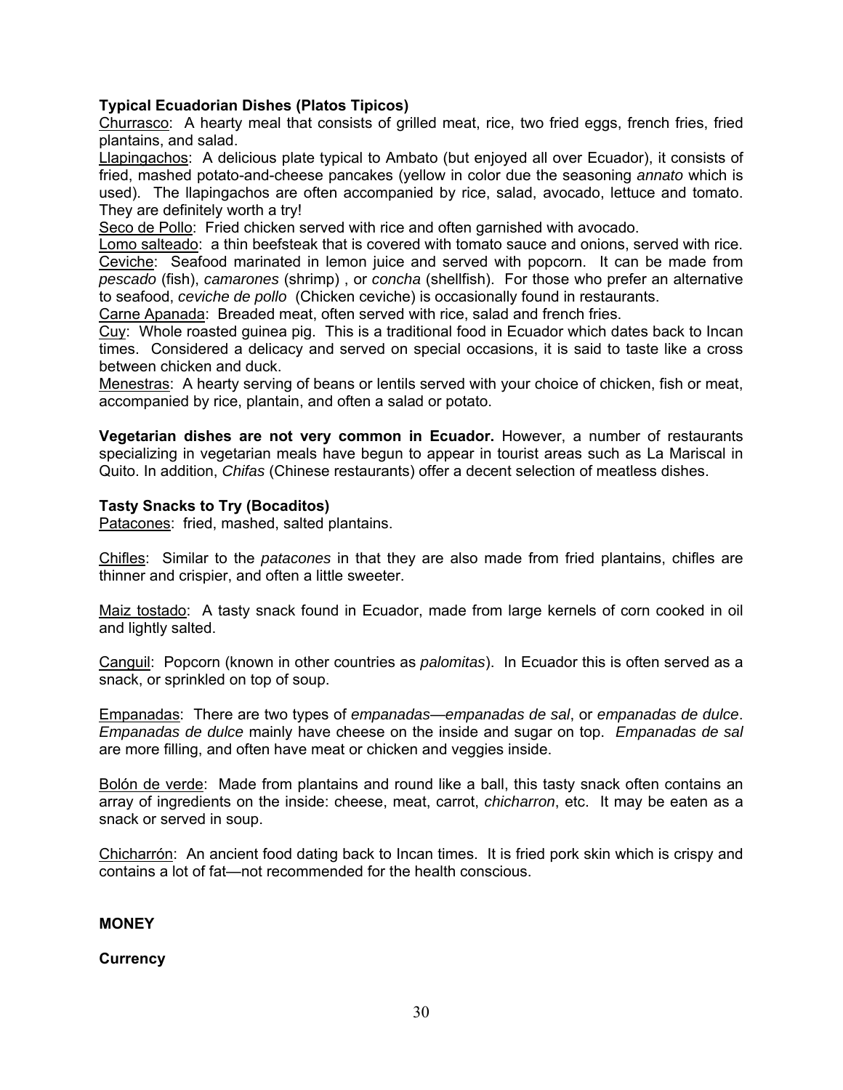# **Typical Ecuadorian Dishes (Platos Tipicos)**

Churrasco: A hearty meal that consists of grilled meat, rice, two fried eggs, french fries, fried plantains, and salad.

Llapingachos: A delicious plate typical to Ambato (but enjoyed all over Ecuador), it consists of fried, mashed potato-and-cheese pancakes (yellow in color due the seasoning *annato* which is used). The llapingachos are often accompanied by rice, salad, avocado, lettuce and tomato. They are definitely worth a try!

Seco de Pollo: Fried chicken served with rice and often garnished with avocado.

Lomo salteado: a thin beefsteak that is covered with tomato sauce and onions, served with rice. Ceviche: Seafood marinated in lemon juice and served with popcorn. It can be made from *pescado* (fish), *camarones* (shrimp) , or *concha* (shellfish). For those who prefer an alternative to seafood, *ceviche de pollo* (Chicken ceviche) is occasionally found in restaurants.

Carne Apanada: Breaded meat, often served with rice, salad and french fries.

Cuy: Whole roasted guinea pig. This is a traditional food in Ecuador which dates back to Incan times. Considered a delicacy and served on special occasions, it is said to taste like a cross between chicken and duck.

Menestras: A hearty serving of beans or lentils served with your choice of chicken, fish or meat, accompanied by rice, plantain, and often a salad or potato.

**Vegetarian dishes are not very common in Ecuador.** However, a number of restaurants specializing in vegetarian meals have begun to appear in tourist areas such as La Mariscal in Quito. In addition, *Chifas* (Chinese restaurants) offer a decent selection of meatless dishes.

#### **Tasty Snacks to Try (Bocaditos)**

Patacones: fried, mashed, salted plantains.

Chifles: Similar to the *patacones* in that they are also made from fried plantains, chifles are thinner and crispier, and often a little sweeter.

Maiz tostado: A tasty snack found in Ecuador, made from large kernels of corn cooked in oil and lightly salted.

Canguil: Popcorn (known in other countries as *palomitas*). In Ecuador this is often served as a snack, or sprinkled on top of soup.

Empanadas: There are two types of *empanadas*—*empanadas de sal*, or *empanadas de dulce*. *Empanadas de dulce* mainly have cheese on the inside and sugar on top. *Empanadas de sal* are more filling, and often have meat or chicken and veggies inside.

Bolón de verde: Made from plantains and round like a ball, this tasty snack often contains an array of ingredients on the inside: cheese, meat, carrot, *chicharron*, etc. It may be eaten as a snack or served in soup.

Chicharrón: An ancient food dating back to Incan times. It is fried pork skin which is crispy and contains a lot of fat—not recommended for the health conscious.

#### **MONEY**

**Currency**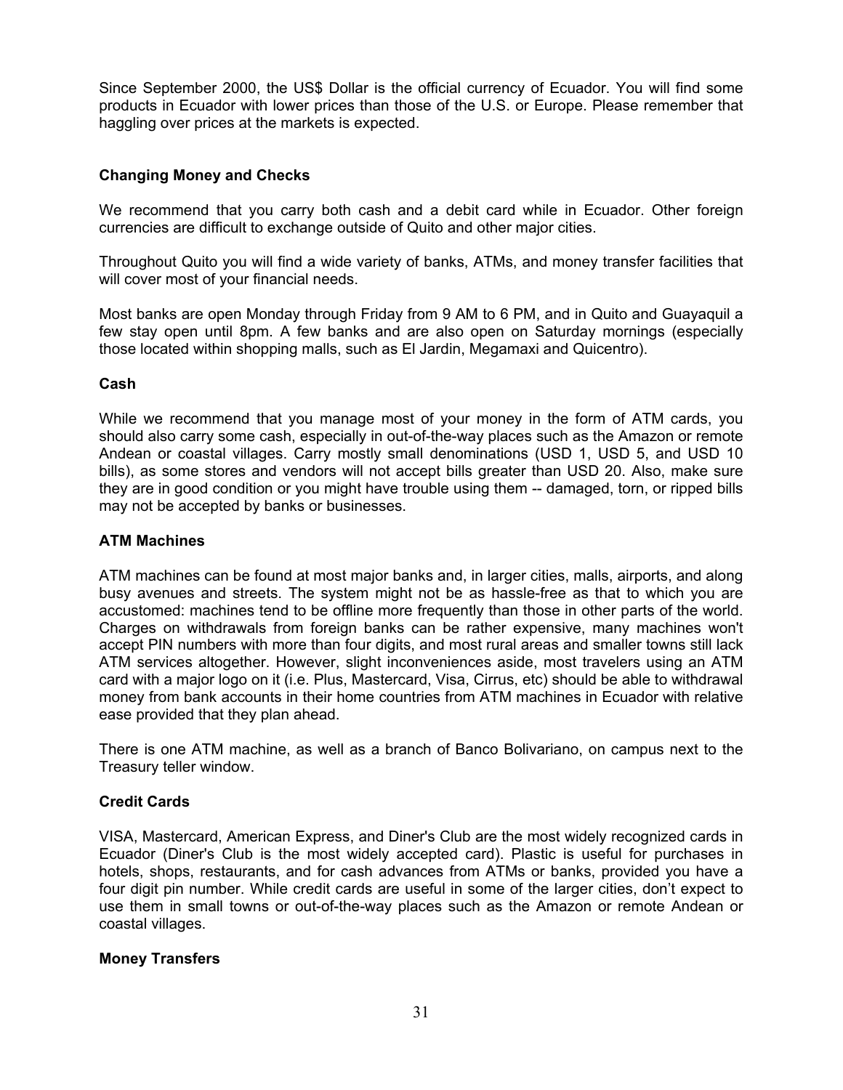Since September 2000, the US\$ Dollar is the official currency of Ecuador. You will find some products in Ecuador with lower prices than those of the U.S. or Europe. Please remember that haggling over prices at the markets is expected.

# **Changing Money and Checks**

We recommend that you carry both cash and a debit card while in Ecuador. Other foreign currencies are difficult to exchange outside of Quito and other major cities.

Throughout Quito you will find a wide variety of banks, ATMs, and money transfer facilities that will cover most of your financial needs.

Most banks are open Monday through Friday from 9 AM to 6 PM, and in Quito and Guayaquil a few stay open until 8pm. A few banks and are also open on Saturday mornings (especially those located within shopping malls, such as El Jardin, Megamaxi and Quicentro).

# **Cash**

While we recommend that you manage most of your money in the form of ATM cards, you should also carry some cash, especially in out-of-the-way places such as the Amazon or remote Andean or coastal villages. Carry mostly small denominations (USD 1, USD 5, and USD 10 bills), as some stores and vendors will not accept bills greater than USD 20. Also, make sure they are in good condition or you might have trouble using them -- damaged, torn, or ripped bills may not be accepted by banks or businesses.

## **ATM Machines**

ATM machines can be found at most major banks and, in larger cities, malls, airports, and along busy avenues and streets. The system might not be as hassle-free as that to which you are accustomed: machines tend to be offline more frequently than those in other parts of the world. Charges on withdrawals from foreign banks can be rather expensive, many machines won't accept PIN numbers with more than four digits, and most rural areas and smaller towns still lack ATM services altogether. However, slight inconveniences aside, most travelers using an ATM card with a major logo on it (i.e. Plus, Mastercard, Visa, Cirrus, etc) should be able to withdrawal money from bank accounts in their home countries from ATM machines in Ecuador with relative ease provided that they plan ahead.

There is one ATM machine, as well as a branch of Banco Bolivariano, on campus next to the Treasury teller window.

# **Credit Cards**

VISA, Mastercard, American Express, and Diner's Club are the most widely recognized cards in Ecuador (Diner's Club is the most widely accepted card). Plastic is useful for purchases in hotels, shops, restaurants, and for cash advances from ATMs or banks, provided you have a four digit pin number. While credit cards are useful in some of the larger cities, don't expect to use them in small towns or out-of-the-way places such as the Amazon or remote Andean or coastal villages.

#### **Money Transfers**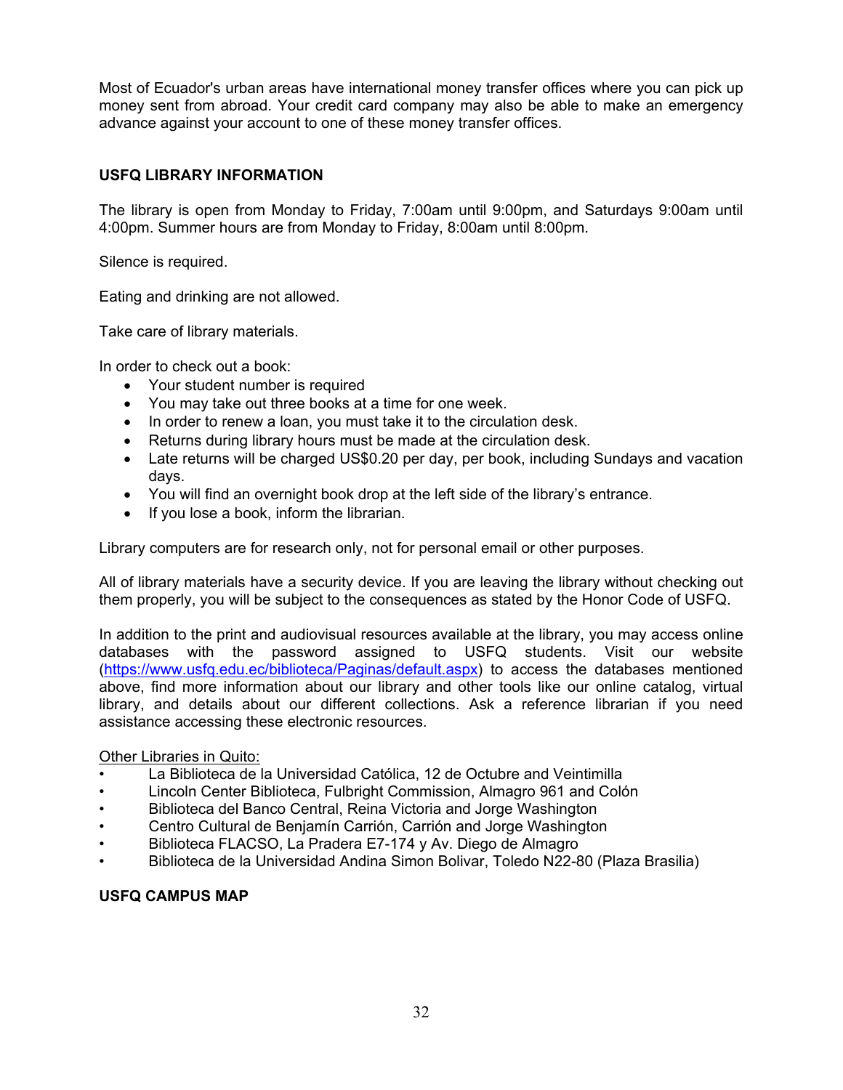Most of Ecuador's urban areas have international money transfer offices where you can pick up money sent from abroad. Your credit card company may also be able to make an emergency advance against your account to one of these money transfer offices.

# **USFQ LIBRARY INFORMATION**

The library is open from Monday to Friday, 7:00am until 9:00pm, and Saturdays 9:00am until 4:00pm. Summer hours are from Monday to Friday, 8:00am until 8:00pm.

Silence is required.

Eating and drinking are not allowed.

Take care of library materials.

In order to check out a book:

- Your student number is required
- You may take out three books at a time for one week.
- In order to renew a loan, you must take it to the circulation desk.
- Returns during library hours must be made at the circulation desk.
- Late returns will be charged US\$0.20 per day, per book, including Sundays and vacation days.
- You will find an overnight book drop at the left side of the library's entrance.
- If you lose a book, inform the librarian.

Library computers are for research only, not for personal email or other purposes.

All of library materials have a security device. If you are leaving the library without checking out them properly, you will be subject to the consequences as stated by the Honor Code of USFQ.

In addition to the print and audiovisual resources available at the library, you may access online databases with the password assigned to USFQ students. Visit our website (https://www.usfq.edu.ec/biblioteca/Paginas/default.aspx) to access the databases mentioned above, find more information about our library and other tools like our online catalog, virtual library, and details about our different collections. Ask a reference librarian if you need assistance accessing these electronic resources.

#### Other Libraries in Quito:

- La Biblioteca de la Universidad Católica, 12 de Octubre and Veintimilla
- Lincoln Center Biblioteca, Fulbright Commission, Almagro 961 and Colón
- Biblioteca del Banco Central, Reina Victoria and Jorge Washington
- Centro Cultural de Benjamín Carrión, Carrión and Jorge Washington
- Biblioteca FLACSO, La Pradera E7-174 y Av. Diego de Almagro
- Biblioteca de la Universidad Andina Simon Bolivar, Toledo N22-80 (Plaza Brasilia)

# **USFQ CAMPUS MAP**